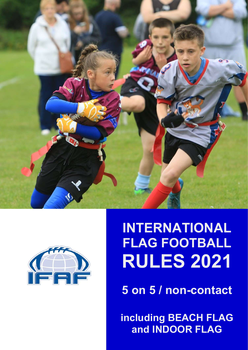



# INTERNATIONAL FLAG FOOTBALL RULES 2021

5 on 5 / non-contact

**Pand INDOOR FLAG** including BEACH FLAG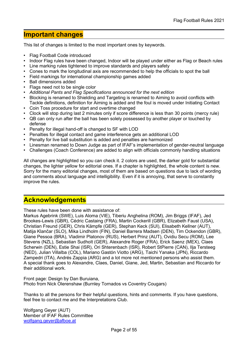# Important changes

This list of changes is limited to the most important ones by keywords.

- Flag Football Code introduced
- Indoor Flag rules have been changed, Indoor will be played under either as Flag or Beach rules
- Line marking rules tightened to improve standards and players safety
- Cones to mark the longitudinal axis are recommended to help the officials to spot the ball
- Field markings for international championship games added
- Ball dimensions added
- Flags need not to be single color
- Additional Pants and Flag Specifications announced for the next edition
- Blocking is renamed to Shielding and Targeting is renamed to Aiming to avoid conflicts with Tackle definitions, definition for Aiming is added and the foul is moved under Initiating Contact
- Coin Toss procedure for start and overtime changed
- Clock will stop during last 2 minutes only if score difference is less than 30 points (mercy rule)
- QB can only run after the ball has been solely possessed by another player or touched by defense
- Penalty for illegal hand-off is changed to SF with LOD
- Penalties for illegal contact and game interference gets an additional LOD
- Penalty for live ball substitution is added and penalties are harmonized
- Linesman renamed to Down Judge as part of IFAF's implementation of gender-neutral language
- Challenges (Coach Conference) are added to align with officials commonly handling situations

All changes are highlighted so you can check it. 2 colors are used, the darker gold for substantial changes, the lighter yellow for editorial ones. If a chapter is highlighted, the whole content is new. Sorry for the many editorial changes, most of them are based on questions due to lack of wording and comments about language and intelligibility. Even if it is annoying, that serve to constantly improve the rules.

# **Acknowledgements**

These rules have been done with assistance of:

Markus Agebrink (SWE), Luis Aloma (VIE), Tiberiu Anghelina (ROM), Jim Briggs (IFAF), Jed Brookes-Lewis (GBR), Cédric Castaing (FRA), Martin Cockerill (GBR), Elizabeth Faust (USA), Christian Freund (GER), Chris Kämpfe (GER), Stephan Keck (SUI), Elisabeth Kellner (AUT), Matija Klančar (SLO), Mika Lindholm (FIN), Daniel Barrera Madsen (DEN), Tim Ockendon (GBR), Giane Pessoa (BRA), Vladimir Platonov (RUS), Herbert Prinz (AUT), Ovidiu Secu (ROM), Lee Stevens (NZL), Sebastian Sudholt (GER), Alexandre Roger (FRA), Erick Saenz (MEX), Claes Scherwin (DEN), Estie Shai (ISR), Ori Shterenbach (ISR), Robert StPierre (CAN), Ilja Tersteeg (NED), Julian Villalba (COL), Mariano Gastón Viotto (ARG), Taichi Yanaka (JPN), Riccardo Zampedri (ITA), Andrés Zappia (ARG) and a lot more not mentioned persons who assist them. A special thank goes to Alexandre, Claes, Daniel, Giane, Jed, Martin, Sebastian and Riccardo for their additional work.

Front page: Design by Dan Buruiana, Photo from Nick Olerenshaw (Burnley Tornados vs Coventry Cougars)

Thanks to all the persons for their helpful questions, hints and comments. If you have questions, feel free to contact me and the Interpretations Club.

Wolfgang Geyer (AUT) Member of IFAF Rules Committee wolfgang.geyer@afboe.at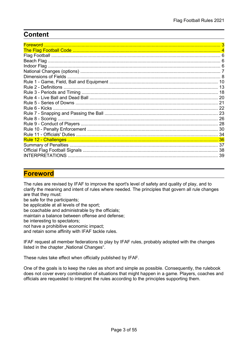# **Content**

| <b>Foreword</b>      |     |
|----------------------|-----|
|                      |     |
|                      |     |
|                      |     |
|                      |     |
|                      |     |
|                      |     |
| Dimensions of Fields |     |
|                      |     |
|                      |     |
|                      | 18  |
|                      |     |
|                      |     |
| Rule 6 - Kicks       | -22 |
|                      |     |
|                      | 26  |
|                      | -28 |
|                      |     |
|                      | 34  |
|                      |     |
|                      | 37  |
|                      |     |
| INTERPRETATIONS      |     |

# Foreword

The rules are revised by IFAF to improve the sport's level of safety and quality of play, and to clarify the meaning and intent of rules where needed. The principles that govern all rule changes are that they must:

be safe for the participants;

be applicable at all levels of the sport;

be coachable and administrable by the officials;

maintain a balance between offense and defense;

be interesting to spectators;

not have a prohibitive economic impact;

and retain some affinity with IFAF tackle rules.

IFAF request all member federations to play by IFAF rules, probably adopted with the changes listed in the chapter "National Changes".

These rules take effect when officially published by IFAF.

One of the goals is to keep the rules as short and simple as possible. Consequently, the rulebook does not cover every combination of situations that might happen in a game. Players, coaches and officials are requested to interpret the rules according to the principles supporting them.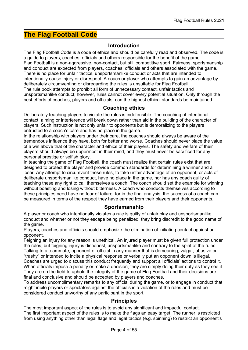# The Flag Football Code

### Introduction

The Flag Football Code is a code of ethics and should be carefully read and observed. The code is a guide to players, coaches, officials and others responsible for the benefit of the game. Flag Football is a non-aggressive, non-contact, but still competitive sport. Fairness, sportsmanship and conduct are expected from players, coaches, officials and others associated with the game. There is no place for unfair tactics, unsportsmanlike conduct or acts that are intended to intentionally cause injury or disrespect. A coach or player who attempts to gain an advantage by deliberately circumventing or disregarding the rules is unsuitable for Flag Football. The rule book attempts to prohibit all form of unnecessary contact, unfair tactics and unsportsmanlike conduct; however, rules cannot cover every potential situation. Only through the best efforts of coaches, players and officials, can the highest ethical standards be maintained.

### Coaching ethics

Deliberately teaching players to violate the rules is indefensible. The coaching of intentional contact, aiming or interference will break down rather than aid in the building of the character of players. Such instruction is not only unfair to opponents but is demoralizing to the players entrusted to a coach's care and has no place in the game.

In the relationship with players under their care, the coaches should always be aware of the tremendous influence they have, both for better and worse. Coaches should never place the value of a win above that of the character and ethics of their players. The safety and welfare of their players should always be uppermost in their mind, and they must never be sacrificed for any personal prestige or selfish glory.

In teaching the game of Flag Football, the coach must realize that certain rules exist that are designed to protect the player and provide common standards for determining a winner and a loser. Any attempt to circumvent these rules, to take unfair advantage of an opponent, or acts of deliberate unsportsmanlike conduct, have no place in the game, nor has any coach guilty of teaching these any right to call themselves a coach. The coach should set the example for winning without boasting and losing without bitterness. A coach who conducts themselves according to these principles need have no fear of failure, for in the final analysis, the success of a coach can be measured in terms of the respect they have earned from their players and their opponents.

### **Sportsmanship**

A player or coach who intentionally violates a rule is guilty of unfair play and unsportsmanlike conduct and whether or not they escape being penalized, they bring discredit to the good name of the game.

Players, coaches and officials should emphasize the elimination of initiating contact against an opponent.

Feigning an injury for any reason is unethical. An injured player must be given full protection under the rules, but feigning injury is dishonest, unsportsmanlike and contrary to the spirit of the rules. Talking to a teammate, opponent or official in any manner that is demeaning, vulgar, abusive or "trashy" or intended to incite a physical response or verbally put an opponent down is illegal.

Coaches are urged to discuss this conduct frequently and support all officials' actions to control it. When officials impose a penalty or make a decision, they are simply doing their duty as they see it. They are on the field to uphold the integrity of the game of Flag Football and their decisions are final and conclusive and should be accepted by players and coaches.

To address uncomplimentary remarks to any official during the game, or to engage in conduct that might incite players or spectators against the officials is a violation of the rules and must be considered conduct unworthy of any participant in the sport.

### **Principles**

The most important aspect of the rules is to avoid any significant and impactful contact. The first important aspect of the rules is to make the flags an easy target. The runner is restricted from using anything other than legal flags and legal tactics (e.g. spinning) to restrict an opponent's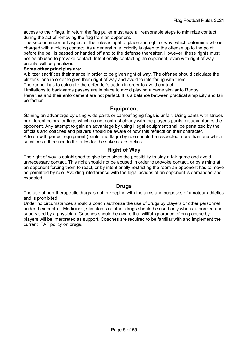access to their flags. In return the flag puller must take all reasonable steps to minimize contact during the act of removing the flag from an opponent.

The second important aspect of the rules is right of place and right of way, which determine who is charged with avoiding contact. As a general rule, priority is given to the offense up to the point before the ball is passed or handed off and to the defense thereafter. However, these rights must not be abused to provoke contact. Intentionally contacting an opponent, even with right of way priority, will be penalized.

#### Some other principles are:

A blitzer sacrifices their stance in order to be given right of way. The offense should calculate the blitzer's lane in order to give them right of way and avoid to interfering with them.

The runner has to calculate the defender's action in order to avoid contact.

Limitations to backwards passes are in place to avoid playing a game similar to Rugby. Penalties and their enforcement are not perfect. It is a balance between practical simplicity and fair perfection.

### Equipment

Gaining an advantage by using wide pants or camouflaging flags is unfair. Using pants with stripes or different colors, or flags which do not contrast clearly with the player's pants, disadvantages the opponent. Any attempt to gain an advantage by using illegal equipment shall be penalized by the officials and coaches and players should be aware of how this reflects on their character. A team with perfect equipment (pants and flags) by rule should be respected more than one which sacrifices adherence to the rules for the sake of aesthetics.

### Right of Way

The right of way is established to give both sides the possibility to play a fair game and avoid unnecessary contact. This right should not be abused in order to provoke contact, or by aiming at an opponent forcing them to react, or by intentionally restricting the room an opponent has to move as permitted by rule. Avoiding interference with the legal actions of an opponent is demanded and expected.

### **Drugs**

The use of non-therapeutic drugs is not in keeping with the aims and purposes of amateur athletics and is prohibited.

Under no circumstances should a coach authorize the use of drugs by players or other personnel under their control. Medicines, stimulants or other drugs should be used only when authorized and supervised by a physician. Coaches should be aware that willful ignorance of drug abuse by players will be interpreted as support. Coaches are required to be familiar with and implement the current IFAF policy on drugs.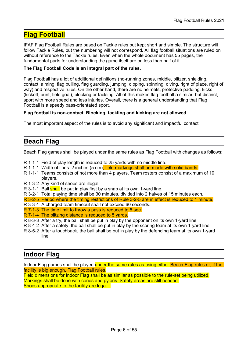# Flag Football

IFAF Flag Football Rules are based on Tackle rules but kept short and simple. The structure will follow Tackle Rules, but the numbering will not correspond. All flag football situations are ruled on without reference to the Tackle rules. Even when the whole document has 55 pages, the fundamental parts for understanding the game itself are on less than half of it.

#### The Flag Football Code is an integral part of the rules.

Flag Football has a lot of additional definitions (no-running zones, middle, blitzer, shielding, contact, aiming, flag pulling, flag guarding, jumping, dipping, spinning, diving, right of place, right of way) and respective rules. On the other hand, there are no helmets, protective padding, kicks (kickoff, punt, field goal), blocking or tackling. All of this makes flag football a similar, but distinct, sport with more speed and less injuries. Overall, there is a general understanding that Flag Football is a speedy pass-orientated sport.

#### Flag football is non-contact. Blocking, tackling and kicking are not allowed.

The most important aspect of the rules is to avoid any significant and impactful contact.

# Beach Flag

Beach Flag games shall be played under the same rules as Flag Football with changes as follows:

- R 1-1-1 Field of play length is reduced to 25 yards with no middle line.
- R 1-1-1 Width of lines: 2 inches (5 cm), field markings shall be made with solid bands.
- R 1-1-1 Teams consists of not more than 4 players. Team rosters consist of a maximum of 10 players.
- R 1-3-2 Any kind of shoes are illegal.
- R 3-1-1 Ball shall be put in play first by a snap at its own 1-yard line.
- R 3-2-1 Total playing time shall be 30 minutes, divided into 2 halves of 15 minutes each.
- R 3-2-5 Period where the timing restrictions of Rule 3-2-5 are in effect is reduced to 1 minute.
- R 3-3-4 A charged team timeout shall not exceed 60 seconds.
- R 7-1-3 The time limit to throw a pass is reduced to 5 sec.
- R 7-1-4 The blitzing distance is reduced to 5 yards.
- R 8-3-3 After a try, the ball shall be put in play by the opponent on its own 1-yard line.
- R 8-4-2 After a safety, the ball shall be put in play by the scoring team at its own 1-yard line.
- R 8-5-2 After a touchback, the ball shall be put in play by the defending team at its own 1-yard line.

# Indoor Flag

Indoor Flag games shall be played under the same rules as using either Beach Flag rules or, if the facility is big enough, Flag Football rules.

Field dimensions for Indoor Flag shall be as similar as possible to the rule-set being utilized. Markings shall be done with cones and pylons. Safety areas are still needed. Shoes appropriate to the facility are legal.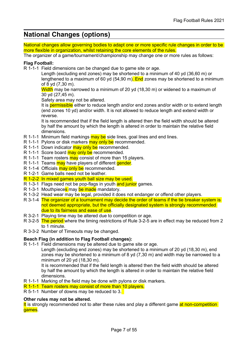# National Changes (options)

National changes allow governing bodies to adapt one or more specific rule changes in order to be more flexible in organization, whilst retaining the core elements of the rules.

The organizer of a game/tournament/championship may change one or more rules as follows:

#### Flag Football:

R 1-1-1 Field dimensions can be changed due to game site or age.

Length (excluding end zones) may be shortened to a minimum of 40 yd (36,60 m) or lengthened to a maximum of 60 yd (54,90 m). End zones may be shortened to a minimum of 8 yd (7,30 m).

Width may be narrowed to a minimum of 20 yd (18,30 m) or widened to a maximum of 30 yd (27,45 m).

Safety area may not be altered.

It is permissible either to reduce length and/or end zones and/or width or to extend length (end zones 10 yd) and/or width. It is not allowed to reduce length and extend width or reverse.

It is recommended that if the field length is altered then the field width should be altered by half the amount by which the length is altered in order to maintain the relative field dimensions.

- R 1-1-1 Minimum field markings may be side lines, goal lines and end lines.
- R 1-1-1 Pylons or disk markers may only be recommended.
- R 1-1-1 Down indicator may only be recommended.
- R 1-1-1 Score board may only be recommended.
- R 1-1-1 Team rosters may consist of more than 15 players.
- R 1-1-1 Teams may have players of different gender.
- R 1-1-4 Officials may only be recommended.
- R 1-2-1 Game balls need not be leather.
- R 1-2-2 In mixed games youth ball size may be used.
- R 1-3-1 Flags need not be pop-flags in youth and junior games.
- R 1-3-1 Mouthpieces may be made mandatory.
- R 1-3-2 Head wear may be legal, provided it does not endanger or offend other players.
- R 3-1-4 The organizer of a tournament may decide the order of teams if the tie breaker system is not deemed appropriate, but the officially designated system is strongly recommended due to its fairness and ease of use.
- R 3-2-1 Playing time may be altered due to competition or age.
- R 3-2-5 The period where the timing restrictions of Rule 3-2-5 are in effect may be reduced from 2 to 1 minute.
- R 3-3-2 Number of Timeouts may be changed.

#### Beach Flag (in addition to Flag Football changes):

R 1-1-1 Field dimensions may be altered due to game site or age.

Length (excluding end zones) may be shortened to a minimum of 20 yd (18,30 m), end zones may be shortened to a minimum of 8 yd (7,30 m) and width may be narrowed to a minimum of 20 yd (18,30 m).

It is recommended that if the field length is altered then the field width should be altered by half the amount by which the length is altered in order to maintain the relative field dimensions.

- R 1-1-1 Marking of the field may be done with pylons or disk markers.
- R 1-1-1 Team rosters may consist of more than 10 players.
- R 5-1-1 Number of downs may be reduced to 3.

#### Other rules may not be altered.

It is strongly recommended not to alter these rules and play a different game at non-competition games.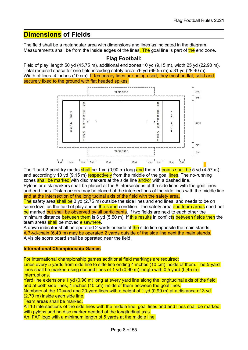# Dimensions of Fields

The field shall be a rectangular area with dimensions and lines as indicated in the diagram. Measurements shall be from the inside edges of the lines. The goal line is part of the end zone.

#### Flag Football:

Field of play: length 50 yd (45,75 m), additional end zones 10 yd (9,15 m), width 25 yd (22,90 m). Total required space for one field including safety area: 76 yd (69,55 m) x 31 yd (28,40 m). Width of lines: 4 inches (10 cm). If temporary lines are being used, they must be flat, solid and securely fixed to the ground with flat headed spikes.



The 1 and 2-point try marks shall be 1 yd (0,90 m) long and the mid-points shall be 5 yd (4,57 m) and accordingly 10 yd (9,15 m) respectively from the middle of the goal lines. The no-running zones shall be marked with disc markers at the side line and/or with a dashed line.

Pylons or disk markers shall be placed at the 8 intersections of the side lines with the goal lines and end lines. Disk markers may be placed at the intersections of the side lines with the middle line and at the intersection of the longitudinal axis of the field with the safety area.

The safety area shall be 3 yd (2,75 m) outside the side lines and end lines, and needs to be on same level as the field of play and in the same condition. The safety area and team areas need not be marked but shall be observed by all participants. If two fields are next to each other the minimum distance between them is 6 yd (5,50 m). If this results in conflicts between fields then the team areas shall be moved elsewhere.

A down indicator shall be operated 2 yards outside of the side line opposite the main stands. A 7-yd-chain (6,40 m) may be operated 2 yards outside of the side line next the main stands. A visible score board shall be operated near the field.

#### International Championship Games

For international championship games additional field markings are required:

Lines every 5 yards from side line to side line ending 4 inches (10 cm) inside of them. The 5-yard lines shall be marked using dashed lines of 1 yd  $(0,90 \text{ m})$  length with 0.5 yard  $(0,45 \text{ m})$ interruptions.

Yard line extensions 1 yd (0,90 m) long at every yard line along the longitudinal axis of the field and at both side lines, 4 inches (10 cm) inside of them between the goal lines.

Numbers at the 10-yard and 20-yard lines with a height of 1 yd (0,90 m) at a distance of 3 yd (2,70 m) inside each side line.

Team areas shall be marked.

All 10 intersections of the side lines with the middle line, goal lines and end lines shall be marked with pylons and no disc marker needed at the longitudinal axis. An IFAF logo with a minimum length of 5 yards at the middle line.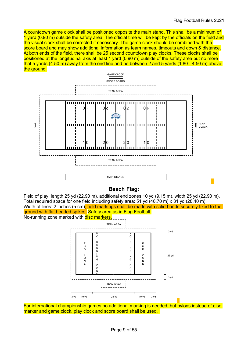A countdown game clock shall be positioned opposite the main stand. This shall be a minimum of 1 yard (0.90 m) outside the safety area. The official time will be kept by the officials on the field and the visual clock shall be corrected if necessary. The game clock should be combined with the score board and may show additional information as team names, timeouts and down & distance. At both ends of the field, there shall be 25 second countdown play clocks. These clocks shall be positioned at the longitudinal axis at least 1 yard (0.90 m) outside of the safety area but no more that 5 yards (4.50 m) away from the end line and be between 2 and 5 yards (1.80 - 4.50 m) above the ground.



# Beach Flag:

Field of play: length 25 yd (22,90 m), additional end zones 10 yd (9,15 m), width 25 yd (22,90 m). Total required space for one field including safety area: 51 yd (46,70 m) x 31 yd (28,40 m). Width of lines: 2 inches (5 cm), field markings shall be made with solid bands securely fixed to the ground with flat headed spikes. Safety area as in Flag Football. No-running zone marked with disc markers.



For international championship games no additional marking is needed, but pylons instead of disc marker and game clock, play clock and score board shall be used.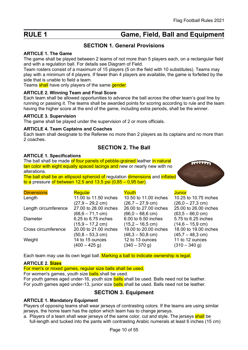# RULE 1 **Game, Field, Ball and Equipment**

# SECTION 1. General Provisions

#### ARTICLE 1. The Game

The game shall be played between 2 teams of not more than 5 players each, on a rectangular field and with a regulation ball. For details see Diagram of Field.

Team rosters consist of a maximum of 15 players (5 on the field with 10 substitutes). Teams may play with a minimum of 4 players. If fewer than 4 players are available, the game is forfeited by the side that is unable to field a team.

Teams shall have only players of the same gender.

#### ARTICLE 2. Winning Team and Final Score

Each team shall be allowed opportunities to advance the ball across the other team's goal line by running or passing it. The teams shall be awarded points for scoring according to rule and the team having the higher score at the end of the game, including extra periods, shall be the winner.

#### ARTICLE 3. Supervision

The game shall be played under the supervision of 2 or more officials.

#### ARTICLE 4. Team Captains and Coaches

Each team shall designate to the Referee no more than 2 players as its captains and no more than 2 coaches.

# SECTION 2. The Ball

#### ARTICLE 1. Specifications

The ball shall be made of four panels of pebble-grained leather in natural tan color with eight equally spaced lacings and new or nearly new with no alterations.

The ball shall be an ellipsoid spheroid of regulation dimensions and inflated to a pressure of between 12.5 and 13.5 psi  $(0.85 - 0.95 \text{ bar})$ .



| <b>Dimensions</b>    | Regular                      | Youth                      | <b>Junior</b>                |
|----------------------|------------------------------|----------------------------|------------------------------|
| Length               | 11.00 to 11.50 inches        | 10.50 to 11.00 inches      | 10.25 to 10.75 inches        |
|                      | $(27.9 - 29.2$ cm)           | $(26,7 - 27,9 \text{ cm})$ | $(26,0 - 27,3 \text{ cm})$   |
| Length circumference | 27.00 to 28.00 inches        | 26.00 to 27.00 inches      | 25.00 to 26.00 inches        |
|                      | $(68, 6 - 71, 1 \text{ cm})$ | $(66,0 - 68,6 \text{ cm})$ | $(63,5 - 66,0 \text{ cm})$   |
| <b>Diameter</b>      | 6.25 to 6.75 inches          | 6.00 to 6.50 inches        | 5.75 to 6.25 inches          |
|                      | $(15.9 - 17.2$ cm)           | $(15,2 - 16,5$ cm)         | $(14, 6 - 15, 9 \text{ cm})$ |
| Cross circumference  | 20.00 to 21.00 inches        | 19.00 to 20.00 inches      | 18.00 to 19.00 inches        |
|                      | $(50, 8 - 53, 3 \text{ cm})$ | $(48,3 - 50,8 \text{ cm})$ | $(45,7 - 48,3 \text{ cm})$   |
| Weight               | 14 to 15 ounces              | 12 to 13 ounces            | 11 to 12 ounces              |
|                      | $(400 - 425 g)$              | $(340 - 370$ g)            | $(310 - 340 g)$              |
|                      |                              |                            |                              |

Each team may use its own legal ball. Marking a ball to indicate ownership is legal.

#### ARTICLE 2. Sizes

For men's or mixed games, regular size balls shall be used.

For women's games, youth size **balls** shall be used.

For youth games aged under-16, youth size **balls** shall be used. Balls need not be leather. For youth games aged under-13, junior size **balls** shall be used. Balls need not be leather.

# SECTION 3. Equipment

#### ARTICLE 1. Mandatory Equipment

Players of opposing teams shall wear jerseys of contrasting colors. If the teams are using similar jerseys, the home team has the option which team has to change jerseys.

a. Players of a team shall wear jerseys of the same color, cut and style. The jerseys shall be full-length and tucked into the pants with contrasting Arabic numerals at least 6 inches (15 cm)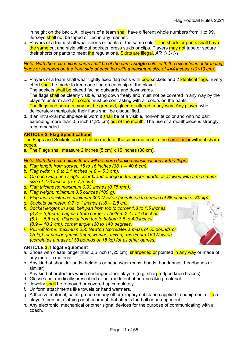in height on the back. All players of a team shall have different whole numbers from 1 to 99. Jerseys shall not be taped or tied in any manner.

b. Players of a team shall wear shorts or pants of the same color. The shorts or pants shall have the same cut and style without pockets, press studs or clips. Players may not tape or secure their shorts or pants to meet the regulations. Skirts are illegal. AR 1-3-1-I

Note: With the next edition pants shall be of the same single color with the exceptions of branding, logos or numbers on the front side of each leg with a maximum size of 4×4 inches (10×10 cm).

c. Players of a team shall wear tightly fixed flag belts with pop-sockets and 2 identical flags. Every effort **shall** be made to keep one flag on each hip of the player.

The sockets shall be placed facing outwards and downwards.

The flags shall be clearly visible, hang down freely and must not be covered in any way by the player's uniform and all colors must be contrasting with all colors on the pants.

The flags and sockets may not be greased, glued or altered in any way. Any player, who deliberately manipulate their flags shall be disqualified.

d. If an intra-oral mouthpiece is worn it **shall** be of a visible, non-white color and with no part extending more than 0.5 inch (1,25 cm) out of the mouth. The use of a mouthpiece is strongly recommended.

#### **ARTICLE 2. Flag Specifications**

The Flags and Sockets each shall be made of the same material in the same color without sharp edges.

a. The Flags shall measure 2 inches (5 cm) x 15 inches (38 cm).

Note: With the next edition there will be more detailed specifications for the flags.

- a. Flag length from socket: 15 to 16 inches  $(38, 1 40, 6$  cm).
- b. Flag width: 1.9 to 2.1 inches  $(4.8 5.3$  cm).
- c. On each Flag one single color brand or logo in the upper quarter is allowed with a maximum size of 2×3 inches (5 x 7,5 cm).
- d. Flag thickness: maximum 0.03 inches (0,75 mm).
- e. Flag weight: minimum 3.5 ounces (100 g).
- f. Flag tear resistance: minimum 300 Newton (correlates to a mass of 66 pounds or 30 kg)
- g. Sockets diameter: 0.7 to 1 inches  $(1,8 2,5$  cm).
- h. Socket lengths in axis: belt part from top to corner 1.3 to 1.5 inches
	- $(3.3 3.8$  cm), flag part from corner to bottom 2.4 to 2.6 inches
	- $(6.1 6.6$  cm), diagonal from top to bottom 3.5 to 4.0 inches
	- (8,9 10,2 cm), corner angle 130 to 140 degrees.
- i. Pull-off force: maximum 250 Newton (correlates a mass of 55 pounds or 25 kg) for senior games (men. women. mixed), maximum 150 Newton (correlates a mass of 33 pounds or 15 kg) for all other games.

#### **ARTICLE 3. Illegal Equipment**

- a. Shoes with cleats longer than 0.5 inch (1,25 cm), **sharpened or** pointed in any way or made of any metallic material.
- b. Any kind of shoulder pads, helmets or head wear (caps, hoods, bandannas, headbands or similar).
- c. Any kind of protectors which endanger other players (e.g. sharp-edged knee braces).
- d. Glasses not medically prescribed or not made out of non-breaking material.
- e. Jewelry shall be removed or covered up completely.
- f. Uniform attachments like towels or hand warmers.
- g. Adhesive material, paint, grease or any other slippery substance applied to equipment or to a player's person, clothing or attachment that affects the ball or an opponent.
- h. Any electronic, mechanical or other signal devices for the purpose of communicating with a coach.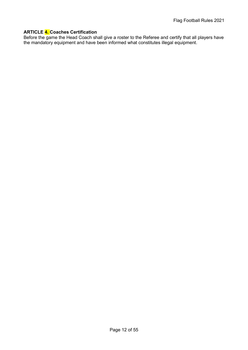#### ARTICLE 4. Coaches Certification

Before the game the Head Coach shall give a roster to the Referee and certify that all players have the mandatory equipment and have been informed what constitutes illegal equipment.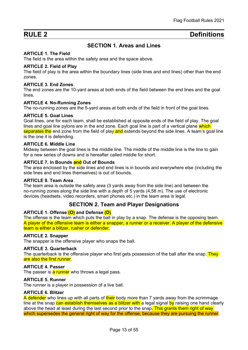# RULE 2 Definitions

# SECTION 1. Areas and Lines

#### ARTICLE 1. The Field

The field is the area within the safety area and the space above.

#### ARTICLE 2. Field of Play

The field of play is the area within the boundary lines (side lines and end lines) other than the end zones.

#### ARTICLE 3. End Zones

The end zones are the 10-yard areas at both ends of the field between the end lines and the goal lines.

#### ARTICLE 4. No-Running Zones

The no-running zones are the 5-yard areas at both ends of the field in front of the goal lines.

#### ARTICLE 5. Goal Lines

Goal lines, one for each team, shall be established at opposite ends of the field of play. The goal lines and goal line pylons are in the end zone. Each goal line is part of a vertical plane which separates the end zone from the field of play and extends beyond the side lines. A team's goal line is the one it is defending.

#### ARTICLE 6. Middle Line

Midway between the goal lines is the middle line. The middle of the middle line is the line to gain for a new series of downs and is hereafter called middle for short.

#### ARTICLE 7. In Bounds and Out of Bounds

The area enclosed by the side lines and end lines is in bounds and everywhere else (including the side lines and end lines themselves) is out of bounds.

#### ARTICLE 8. Team Area

The team area is outside the safety area (3 yards away from the side line) and between the no-running zones along the side line with a depth of 5 yards (4,58 m). The use of electronic devices (headsets, video recorders, smart phones etc.) in the team area is legal.

#### SECTION 2. Team and Player Designations

#### ARTICLE 1. Offense (O) and Defense (D)

The offense is the team which puts the ball in play by a snap. The defense is the opposing team. A player of the offensive team is either a snapper, a runner or a receiver. A player of the defensive team is either a blitzer, rusher or defender.

#### ARTICLE 2. Snapper

The snapper is the offensive player who snaps the ball.

#### ARTICLE 3. Quarterback

The quarterback is the offensive player who first gets possession of the ball after the snap. They are also the first runner

#### ARTICLE 4. Passer

The passer is a runner who throws a legal pass.

#### ARTICLE 5. Runner

The runner is a player in possession of a live ball.

#### ARTICLE 6. Blitzer

A defender who lines up with all parts of their body more than 7 yards away from the scrimmage line at the snap can establish themselves as a blitzer with a legal signal by raising one hand clearly above the head at least during the last second prior to the snap. This grants them right of way which supersedes the general right of way for the offense, because they are pursuing the runner.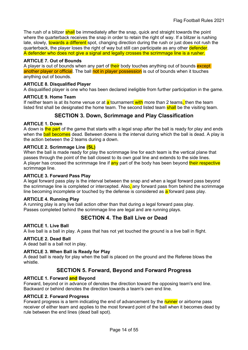The rush of a blitzer shall be immediately after the snap, quick and straight towards the point where the quarterback receives the snap in order to retain the right of way. If a blitzer is rushing late, slowly, towards a different spot, changing direction during the rush or just does not rush the quarterback, the player loses the right of way but still can participate as any other defender. A defender who does not give a signal and legally crosses the scrimmage line is a rusher.

#### ARTICLE 7. Out of Bounds

A player is out of bounds when any part of their body touches anything out of bounds except another player or official. The ball not in player possession is out of bounds when it touches anything out of bounds.

#### ARTICLE 8. Disqualified Player

A disqualified player is one who has been declared ineligible from further participation in the game.

#### ARTICLE 9. Home Team

If neither team is at its home venue or at  $a$  tournament with more than 2 teams, then the team listed first shall be designated the home team. The second listed team shall be the visiting team.

### SECTION 3. Down, Scrimmage and Play Classification

#### ARTICLE 1. Down

A down is the part of the game that starts with a legal snap after the ball is ready for play and ends when the **ball becomes** dead. Between downs is the interval during which the ball is dead. A play is the action between the 2 teams during a down.

#### ARTICLE 2. Scrimmage Line (SL)

When the ball is made ready for play the scrimmage line for each team is the vertical plane that passes through the point of the ball closest to its own goal line and extends to the side lines. A player has crossed the scrimmage line if any part of the body has been beyond their respective scrimmage line.

#### ARTICLE 3. Forward Pass Play

A legal forward pass play is the interval between the snap and when a legal forward pass beyond the scrimmage line is completed or intercepted. Also, any forward pass from behind the scrimmage line becoming incomplete or touched by the defense is considered as  $a$  forward pass play.

#### ARTICLE 4. Running Play

A running play is any live ball action other than that during a legal forward pass play. Passes completed behind the scrimmage line are legal and are running plays.

### SECTION 4. The Ball Live or Dead

#### ARTICLE 1. Live Ball

A live ball is a ball in play. A pass that has not yet touched the ground is a live ball in flight.

#### ARTICLE 2. Dead Ball

A dead ball is a ball not in play.

#### ARTICLE 3. When Ball is Ready for Play

A dead ball is ready for play when the ball is placed on the ground and the Referee blows the whistle.

### SECTION 5. Forward, Beyond and Forward Progress

#### ARTICLE 1. Forward and Beyond

Forward, beyond or in advance of denotes the direction toward the opposing team's end line. Backward or behind denotes the direction towards a team's own end line.

#### ARTICLE 2. Forward Progress

Forward progress is a term indicating the end of advancement by the runner or airborne pass receiver of either team and applies to the most forward point of the ball when it becomes dead by rule between the end lines (dead ball spot).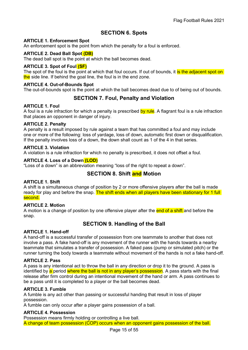# SECTION 6. Spots

#### ARTICLE 1. Enforcement Spot

An enforcement spot is the point from which the penalty for a foul is enforced.

#### ARTICLE 2. Dead Ball Spot (DB)

The dead ball spot is the point at which the ball becomes dead.

#### ARTICLE 3. Spot of Foul (SF)

The spot of the foul is the point at which that foul occurs. If out of bounds, it is the adjacent spot on the side line. If behind the goal line, the foul is in the end zone.

#### ARTICLE 4. Out-of-Bounds Spot

The out-of-bounds spot is the point at which the ball becomes dead due to of being out of bounds.

### SECTION 7. Foul, Penalty and Violation

#### ARTICLE 1. Foul

A foul is a rule infraction for which a penalty is prescribed by rule. A flagrant foul is a rule infraction that places an opponent in danger of injury.

#### ARTICLE 2. Penalty

A penalty is a result imposed by rule against a team that has committed a foul and may include one or more of the following: loss of yardage, loss of down, automatic first down or disqualification. If the penalty involves loss of a down, the down shall count as 1 of the 4 in that series.

#### ARTICLE 3. Violation

A violation is a rule infraction for which no penalty is prescribed, it does not offset a foul.

#### ARTICLE 4. Loss of a Down (LOD)

"Loss of a down" is an abbreviation meaning "loss of the right to repeat a down".

# SECTION 8. Shift and Motion

#### ARTICLE 1. Shift

A shift is a simultaneous change of position by 2 or more offensive players after the ball is made ready for play and before the snap. The shift ends when all players have been stationary for 1 full second.

#### ARTICLE 2. Motion

A motion is a change of position by one offensive player after the end of a shift and before the snap.

# SECTION 9. Handling of the Ball

#### ARTICLE 1. Hand-off

A hand-off is a successful transfer of possession from one teammate to another that does not involve a pass. A fake hand-off is any movement of the runner with the hands towards a nearby teammate that simulates a transfer of possession. A faked pass (pump or simulated pitch) or the runner turning the body towards a teammate without movement of the hands is not a fake hand-off.

#### ARTICLE 2. Pass

A pass is any intentional act to throw the ball in any direction or drop it to the ground. A pass is identified by a period where the ball is not in any player's possession. A pass starts with the final release after firm control during an intentional movement of the hand or arm. A pass continues to be a pass until it is completed to a player or the ball becomes dead.

#### ARTICLE 3. Fumble

A fumble is any act other than passing or successful handing that result in loss of player possession.

A fumble can only occur after a player gains possession of a ball.

#### ARTICLE 4. Possession

Possession means firmly holding or controlling a live ball.

A change of team possession (COP) occurs when an opponent gains possession of the ball.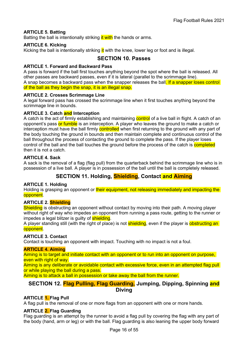#### ARTICLE 5. Batting

Batting the ball is intentionally striking it with the hands or arms.

#### ARTICLE 6. Kicking

Kicking the ball is intentionally striking it with the knee, lower leg or foot and is illegal.

### SECTION 10. Passes

#### ARTICLE 1. Forward and Backward Pass

A pass is forward if the ball first touches anything beyond the spot where the ball is released. All other passes are backward passes, even if it is lateral (parallel to the scrimmage line). A snap becomes a backward pass when the snapper releases the ball. If a snapper loses control

of the ball as they begin the snap, it is an illegal snap.

#### ARTICLE 2. Crosses Scrimmage Line

A legal forward pass has crossed the scrimmage line when it first touches anything beyond the scrimmage line in bounds.

#### ARTICLE 3. Catch and Interception

A catch is the act of firmly establishing and maintaining control of a live ball in flight. A catch of an opponent's pass or fumble is an interception. A player who leaves the ground to make a catch or interception must have the ball firmly controlled when first returning to the ground with any part of the body touching the ground in bounds and then maintain complete and continuous control of the ball throughout the process of contacting the ground to complete the pass. If the player loses control of the ball and the ball touches the ground before the process of the catch is **completed** then it is not a catch.

#### ARTICLE 4. Sack

A sack is the removal of a flag (flag pull) from the quarterback behind the scrimmage line who is in possession of a live ball. A player is in possession of the ball until the ball is completely released.

# SECTION 11. Holding, **Shielding**, Contact and Aiming

#### ARTICLE 1. Holding

Holding is grasping an opponent or their equipment, not releasing immediately and impacting the opponent.

#### ARTICLE 2. Shielding

Shielding is obstructing an opponent without contact by moving into their path. A moving player without right of way who impedes an opponent from running a pass route, getting to the runner or impedes a legal blitzer is guilty of **shielding**.

A player standing still (with the right of place) is not **shielding**, even if the player is **obstructing an** opponent.

#### ARTICLE 3. Contact

Contact is touching an opponent with impact. Touching with no impact is not a foul.

#### ARTICLE 4. Aiming

Aiming is to target and initiate contact with an opponent or to run into an opponent on purpose, even with right of way.

Aiming is any deliberate or avoidable contact with excessive force, even in an attempted flag pull or while playing the ball during a pass.

Aiming is to attack a ball in possession or take away the ball from the runner.

### SECTION 12. Flag Pulling, Flag Guarding, Jumping, Dipping, Spinning and Diving

#### ARTICLE 1. Flag Pull

A flag pull is the removal of one or more flags from an opponent with one or more hands.

#### ARTICLE 2. Flag Guarding

Flag guarding is an attempt by the runner to avoid a flag pull by covering the flag with any part of the body (hand, arm or leg) or with the ball. Flag guarding is also leaning the upper body forward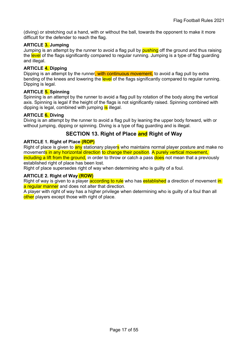(diving) or stretching out a hand, with or without the ball, towards the opponent to make it more difficult for the defender to reach the flag.

#### ARTICLE 3. Jumping

Jumping is an attempt by the runner to avoid a flag pull by **pushing** off the ground and thus raising the level of the flags significantly compared to regular running. Jumping is a type of flag guarding and illegal.

#### ARTICLE 4. Dipping

Dipping is an attempt by the runner, with continuous movement, to avoid a flag pull by extra bending of the knees and lowering the level of the flags significantly compared to regular running. Dipping is legal.

#### ARTICLE 5. Spinning

Spinning is an attempt by the runner to avoid a flag pull by rotation of the body along the vertical axis. Spinning is legal if the height of the flags is not significantly raised. Spinning combined with dipping is legal, combined with jumping is illegal.

#### ARTICLE 6. Diving

Diving is an attempt by the runner to avoid a flag pull by leaning the upper body forward, with or without jumping, dipping or spinning. Diving is a type of flag guarding and is illegal.

# SECTION 13. Right of Place and Right of Way

#### ARTICLE 1. Right of Place (ROP)

Right of place is given to any stationary players who maintains normal player posture and make no movements in any horizontal direction to change their position. A purely vertical movement,

including a lift from the ground, in order to throw or catch a pass does not mean that a previously established right of place has been lost.

Right of place supersedes right of way when determining who is guilty of a foul.

#### ARTICLE 2. Right of Way (ROW)

Right of way is given to a player **according to rule** who has **established** a direction of movement in a regular manner and does not alter that direction.

A player with right of way has a higher privilege when determining who is guilty of a foul than all other players except those with right of place.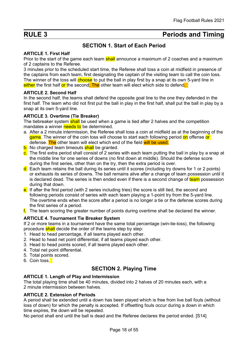# RULE 3 **Periods and Timing**

# SECTION 1. Start of Each Period

#### ARTICLE 1. First Half

Prior to the start of the game each team shall announce a maximum of 2 coaches and a maximum of 2 captains to the Referee.

3 minutes prior to the scheduled start time, the Referee shall toss a coin at midfield in presence of the captains from each team, first designating the captain of the visiting team to call the coin toss. The winner of the toss will choose to put the ball in play first by a snap at its own 5-yard line in either the first half or the second. The other team will elect which side to defend.

#### ARTICLE 2. Second Half

In the second half, the teams shall defend the opposite goal line to the one they defended in the first half. The team who did not first put the ball in play in the first half, shall put the ball in play by a snap at its own 5-yard line.

#### ARTICLE 3. Overtime (Tie Breaker)

The tiebreaker system shall be used when a game is tied after 2 halves and the competition mandates a winner needs to be determined.

- a. After a 2 minute intermission, the Referee shall toss a coin at midfield as at the beginning of the game. The winner of the coin toss will choose to start each following period on offense or defense. The other team will elect which end of the field will be used.
- b. No charged team timeouts shall be granted.
- c. The first extra period shall consist of 2 series with each team putting the ball in play by a snap at the middle line for one series of downs (no first down at middle). Should the defense score during the first series, other than on the try, then the extra period is over.
- d. Each team retains the ball during its series until it scores (including try downs for 1 or 2 points) or exhausts its series of downs. The ball remains alive after a change of team possession until it is declared dead. The series is then ended even if there is a second change of team possession during that down.
- e. If after the first period (with 2 series including tries) the score is still tied, the second and following periods consist of series with each team playing a 1-point try from the 5-yard line. The overtime ends when the score after a period is no longer a tie or the defense scores during the first series of a period.
- $f<sub>1</sub>$ . The team scoring the greater number of points during overtime shall be declared the winner.

#### ARTICLE 4. Tournament Tie Breaker System

If 2 or more teams in a tournament have the same total percentage (win-tie-loss), the following procedure shall decide the order of the teams step by step:

- 1. Head to head percentage, if all teams played each other.
- 2. Head to head net point differential, if all teams played each other.
- 3. Head to head points scored, if all teams played each other.
- 4. Total net point differential.
- 5. Total points scored.
- 6. Coin toss.

# SECTION 2. Playing Time

#### ARTICLE 1. Length of Play and Intermission

The total playing time shall be 40 minutes, divided into 2 halves of 20 minutes each, with a 2 minute intermission between halves.

#### ARTICLE 2. Extension of Periods

A period shall be extended until a down has been played which is free from live ball fouls (without loss of down) for which the penalty is accepted. If offsetting fouls occur during a down in which time expires, the down will be repeated.

No period shall end until the ball is dead and the Referee declares the period ended. [S14]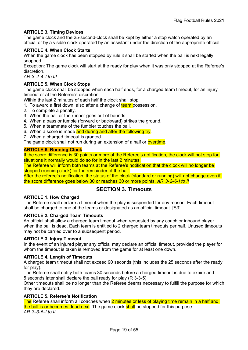#### ARTICLE 3. Timing Devices

The game clock and the 25-second-clock shall be kept by either a stop watch operated by an official or by a visible clock operated by an assistant under the direction of the appropriate official.

#### ARTICLE 4. When Clock Starts

When the game clock has been stopped by rule it shall be started when the ball is next legally snapped.

Exception: The game clock will start at the ready for play when it was only stopped at the Referee's discretion.

AR 3-2-4-I to III

#### ARTICLE 5. When Clock Stops

The game clock shall be stopped when each half ends, for a charged team timeout, for an injury timeout or at the Referee's discretion.

Within the last 2 minutes of each half the clock shall stop:

- 1. To award a first down, also after a change of team possession.
- 2. To complete a penalty.
- 3. When the ball or the runner goes out of bounds.
- 4. When a pass or fumble (forward or backward) strikes the ground.
- 5. When a teammate of the fumbler touches the ball.
- 6. When a score is made and during and after the following try.
- 7. When a charged timeout is granted.

The game clock shall not run during an extension of a half or **overtime**.

#### ARTICLE 6. Running Clock

If the score difference is 30 points or more at the Referee's notification, the clock will not stop for situations it normally would do so for in the last 2 minutes.

The Referee will inform both teams at the Referee's notification that the clock will no longer be stopped (running clock) for the remainder of the half.

After the referee's notification, the status of the clock (standard or running) will not change even if the score difference goes below 30 or reaches 30 or more points. AR 3-2-6-I to II

### SECTION 3. Timeouts

#### ARTICLE 1. How Charged

The Referee shall declare a timeout when the play is suspended for any reason. Each timeout shall be charged to one of the teams or designated as an official timeout. [S3]

#### ARTICLE 2. Charged Team Timeouts

An official shall allow a charged team timeout when requested by any coach or inbound player when the ball is dead. Each team is entitled to 2 charged team timeouts per half. Unused timeouts may not be carried over to a subsequent period.

#### ARTICLE 3. Injury Timeout

In the event of an injured player any official may declare an official timeout, provided the player for whom the timeout is taken is removed from the game for at least one down.

#### ARTICLE 4. Length of Timeouts

A charged team timeout shall not exceed 90 seconds (this includes the 25 seconds after the ready for play).

The Referee shall notify both teams 30 seconds before a charged timeout is due to expire and 5 seconds later shall declare the ball ready for play (R 3-3-5).

Other timeouts shall be no longer than the Referee deems necessary to fulfill the purpose for which they are declared.

#### ARTICLE 5. Referee's Notification

The Referee shall inform all coaches when 2 minutes or less of playing time remain in a half and the ball is or becomes dead next. The game clock shall be stopped for this purpose. AR 3-3-5-I to II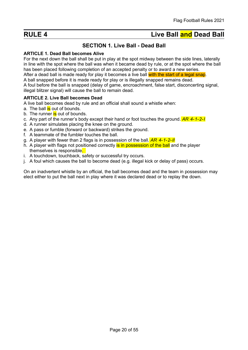# RULE 4 Live Ball and Dead Ball

# SECTION 1. Live Ball - Dead Ball

#### ARTICLE 1. Dead Ball becomes Alive

For the next down the ball shall be put in play at the spot midway between the side lines, laterally in line with the spot where the ball was when it became dead by rule, or at the spot where the ball has been placed following completion of an accepted penalty or to award a new series. After a dead ball is made ready for play it becomes a live ball with the start of a legal snap.

A ball snapped before it is made ready for play or is illegally snapped remains dead.

A foul before the ball is snapped (delay of game, encroachment, false start, disconcerting signal, illegal blitzer signal) will cause the ball to remain dead.

#### ARTICLE 2. Live Ball becomes Dead

A live ball becomes dead by rule and an official shall sound a whistle when:

- a. The ball is out of bounds.
- b. The runner is out of bounds.
- c. Any part of the runner's body except their hand or foot touches the ground.  $AR$  4-1-2-I
- d. A runner simulates placing the knee on the ground.
- e. A pass or fumble (forward or backward) strikes the ground.
- f. A teammate of the fumbler touches the ball.
- g. A player with fewer than 2 flags is in possession of the ball.  $AR$  4-1-2-II
- h. A player with flags not positioned correctly is in possession of the ball and the player themselves is responsible.
- i. A touchdown, touchback, safety or successful try occurs.
- j. A foul which causes the ball to become dead (e.g. illegal kick or delay of pass) occurs.

On an inadvertent whistle by an official, the ball becomes dead and the team in possession may elect either to put the ball next in play where it was declared dead or to replay the down.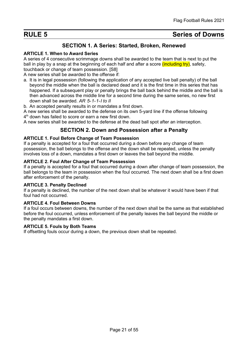# **RULE 5** Series of Downs

# SECTION 1. A Series: Started, Broken, Renewed

#### ARTICLE 1. When to Award Series

A series of 4 consecutive scrimmage downs shall be awarded to the team that is next to put the ball in play by a snap at the beginning of each half and after a score *(including try)*, safety, touchback or change of team possession. [S8]

A new series shall be awarded to the offense if:

- a. It is in legal possession (following the application of any accepted live ball penalty) of the ball beyond the middle when the ball is declared dead and it is the first time in this series that has happened. If a subsequent play or penalty brings the ball back behind the middle and the ball is then advanced across the middle line for a second time during the same series, no new first down shall be awarded. AR 5-1-1-I to II
- b. An accepted penalty results in or mandates a first down.

A new series shall be awarded to the defense on its own 5-yard line if the offense following

 $4^{\text{th}}$  down has failed to score or earn a new first down.

A new series shall be awarded to the defense at the dead ball spot after an interception.

### SECTION 2. Down and Possession after a Penalty

#### ARTICLE 1. Foul Before Change of Team Possession

If a penalty is accepted for a foul that occurred during a down before any change of team possession, the ball belongs to the offense and the down shall be repeated, unless the penalty involves loss of a down, mandates a first down or leaves the ball beyond the middle.

#### ARTICLE 2. Foul After Change of Team Possession

If a penalty is accepted for a foul that occurred during a down after change of team possession, the ball belongs to the team in possession when the foul occurred. The next down shall be a first down after enforcement of the penalty.

#### ARTICLE 3. Penalty Declined

If a penalty is declined, the number of the next down shall be whatever it would have been if that foul had not occurred.

#### ARTICLE 4. Foul Between Downs

If a foul occurs between downs, the number of the next down shall be the same as that established before the foul occurred, unless enforcement of the penalty leaves the ball beyond the middle or the penalty mandates a first down.

#### ARTICLE 5. Fouls by Both Teams

If offsetting fouls occur during a down, the previous down shall be repeated.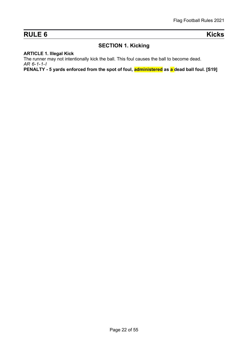# RULE 6 Kicks

# SECTION 1. Kicking

#### ARTICLE 1. Illegal Kick

The runner may not intentionally kick the ball. This foul causes the ball to become dead. AR 6-1-1-I

PENALTY - 5 yards enforced from the spot of foul, **administered** as a dead ball foul. [S19]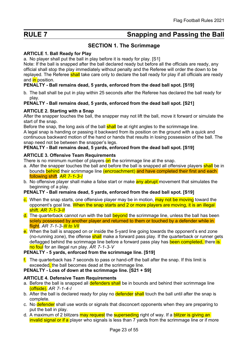# RULE 7 Snapping and Passing the Ball

# SECTION 1. The Scrimmage

#### ARTICLE 1. Ball Ready for Play

a. No player shall put the ball in play before it is ready for play. [S1]

Note: If the ball is snapped after the ball declared ready but before all the officials are ready, any official shall stop the play immediately without penalty and the Referee will order the down to be replayed. The Referee shall take care only to declare the ball ready for play if all officials are ready and in position.

#### PENALTY - Ball remains dead, 5 yards, enforced from the dead ball spot. [S19]

b. The ball shall be put in play within 25 seconds after the Referee has declared the ball ready for play.

#### PENALTY - Ball remains dead, 5 yards, enforced from the dead ball spot. [S21]

#### ARTICLE 2. Starting with a Snap

After the snapper touches the ball, the snapper may not lift the ball, move it forward or simulate the start of the snap.

Before the snap, the long axis of the ball **shall** be at right angles to the scrimmage line. A legal snap is handing or passing it backward from its position on the ground with a quick and continuous backward motion of the hand or hands that results in losing possession of the ball. The snap need not be between the snapper's legs.

#### PENALTY - Ball remains dead, 5 yards, enforced from the dead ball spot. [S19]

#### ARTICLE 3. Offensive Team Requirements

There is no minimum number of players on the scrimmage line at the snap.

- a. After the snapper touches the ball and before the ball is snapped all offensive players shall be in bounds behind their scrimmage line (encroachment) and have completed their first and each following shift. AR 7-1-3-1
- b. No offensive player shall make a false start or make **any abrupt** movement that simulates the beginning of a play.

#### PENALTY - Ball remains dead, 5 yards, enforced from the dead ball spot. [S19]

- c. When the snap starts, one offensive player may be in motion, may not be moving toward the opponent's goal line. When the snap starts and 2 or more players are moving, it is an illegal shift. AR 7-1-3-II
- d. The quarterback cannot run with the ball beyond the scrimmage line, unless the ball has been solely possessed by another player and returned to them or touched by a defender while in flight. AR  $7 - 1 - 3 - 1$ II to VII
- e. When the ball is snapped on or inside the 5-yard line going towards the opponent's end zone (no-running zone), the offense **shall** make a forward pass play. If the quarterback or runner gets deflagged behind the scrimmage line before a forward pass play has been completed, there is no foul for an illegal run play. AR 7-1-3-V

#### PENALTY - 5 yards, enforced from the scrimmage line. [S19]

 $f<sub>l</sub>$ . The quarterback has 7 seconds to pass or hand-off the ball after the snap. If this limit is exceeded, the ball becomes dead at the scrimmage line.

#### PENALTY - Loss of down at the scrimmage line. [S21 + S9]

#### **ARTICLE 4. Defensive Team Requirements**

- a. Before the ball is snapped all defenders shall be in bounds and behind their scrimmage line (offside). AR 7-1-4-I
- b. After the ball is declared ready for play no defender shall touch the ball until after the snap is complete.
- c. No defender shall use words or signals that disconcert opponents when they are preparing to put the ball in play.
- d. A maximum of 2 blitzers may request the superseding right of way. If a **blitzer is giving an** invalid signal or if a player who signals is less than 7 yards from the scrimmage line or if more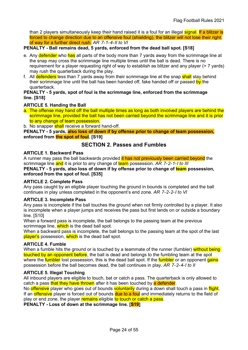than 2 players simultaneously keep their hand raised it is a foul for an illegal signal. If a blitzer is forced to change direction due to an offensive foul (shielding), the blitzer will not lose their right of way for a further direct rush. AR 7-1-4-II to VI

#### PENALTY - Ball remains dead, 5 yards, enforced from the dead ball spot. [S18]

- e. Any defender who has all parts of the body more than 7 yards away from the scrimmage line at the snap may cross the scrimmage line multiple times until the ball is dead. There is no requirement for a player requesting right of way to establish as blitzer and any player (> 7 yards) may rush the quarterback during the play.
- f. All defenders less than 7 yards away from their scrimmage line at the snap shall stay behind their scrimmage line until the ball has been handed off, fake handed off or passed by the quarterback.

#### PENALTY - 5 yards, spot of foul is the scrimmage line, enforced from the scrimmage line. [S18]

#### ARTICLE 5. Handing the Ball

- a. The offense may hand off the ball multiple times as long as both involved players are behind the scrimmage line, provided the ball has not been carried beyond the scrimmage line and it is prior to any change of team possession.
- b. No snapper shall receive a forward hand-off.

PENALTY - 5 yards, also loss of down if by offense prior to change of team possession, enforced from the spot of foul. [S19]

#### SECTION 2. Passes and Fumbles

#### ARTICLE 1. Backward Pass

A runner may pass the ball backwards provided it has not previously been carried beyond the scrimmage line and it is prior to any change of team possession. AR 7-2-1-I to III PENALTY - 5 yards, also loss of down if by offense prior to change of team possession,

enforced from the spot of foul. [S35]

#### ARTICLE 2. Complete Pass

Any pass caught by an eligible player touching the ground in bounds is completed and the ball continues in play unless completed in the opponent's end zone. AR 7-2-2-I to VI

#### ARTICLE 3. Incomplete Pass

Any pass is incomplete if the ball touches the ground when not firmly controlled by a player. It also is incomplete when a player jumps and receives the pass but first lands on or outside a boundary line. [S10]

When a forward pass is incomplete, the ball belongs to the passing team at the previous scrimmage line, which is the dead ball spot.

When a backward pass is incomplete, the ball belongs to the passing team at the spot of the last player's possession, which is the dead ball spot.

#### ARTICLE 4. Fumble

When a fumble hits the ground or is touched by a teammate of the runner (fumbler) without being touched by an opponent before, the ball is dead and belongs to the fumbling team at the spot where the **fumbler** lost possession, this is the dead ball spot. If the **fumbler** or an opponent gains possession before the ball becomes dead, the ball continues in play. AR 7-2-4-I to II

#### ARTICLE 5. Illegal Touching

All inbound players are eligible to touch, bat or catch a pass. The quarterback is only allowed to catch a pass that they have thrown after it has been touched by a defender.

No offensive player who goes out of bounds voluntarily during a down shall touch a pass in flight. If an **offensive** player is forced out of bounds due to a foul and immediately returns to the field of play or end zone, the player remains eligible to touch or catch a pass.

PENALTY - Loss of down at the scrimmage line. [S19]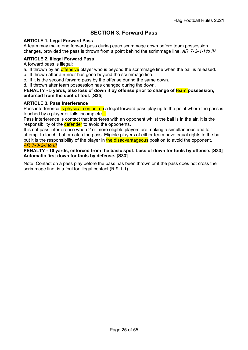# SECTION 3. Forward Pass

#### ARTICLE 1. Legal Forward Pass

A team may make one forward pass during each scrimmage down before team possession changes, provided the pass is thrown from a point behind the scrimmage line.  $AR$  7-3-1-1 to IV

#### ARTICLE 2. Illegal Forward Pass

A forward pass is illegal:

- a. If thrown by an *offensive* player who is beyond the scrimmage line when the ball is released.
- b. If thrown after a runner has gone beyond the scrimmage line.
- c. If it is the second forward pass by the offense during the same down.
- d. If thrown after team possession has changed during the down.

#### PENALTY - 5 yards, also loss of down if by offense prior to change of team possession, enforced from the spot of foul. [S35]

#### ARTICLE 3. Pass Interference

Pass interference is physical contact on a legal forward pass play up to the point where the pass is touched by a player or falls incomplete.

Pass interference is contact that interferes with an opponent whilst the ball is in the air. It is the responsibility of the **defender** to avoid the opponents.

It is not pass interference when 2 or more eligible players are making a simultaneous and fair attempt to touch, bat or catch the pass. Eligible players of either team have equal rights to the ball, but it is the responsibility of the player in the disadvantageous position to avoid the opponent. AR 7-3-3-I to III

#### PENALTY - 10 yards, enforced from the basic spot. Loss of down for fouls by offense. [S33] Automatic first down for fouls by defense. [S33]

Note: Contact on a pass play before the pass has been thrown or if the pass does not cross the scrimmage line, is a foul for illegal contact (R 9-1-1).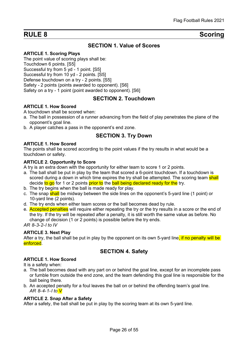# RULE 8 Scoring

# SECTION 1. Value of Scores

#### ARTICLE 1. Scoring Plays

The point value of scoring plays shall be: Touchdown 6 points. [S5] Successful try from 5 yd - 1 point. [S5] Successful try from 10 yd - 2 points. [S5] Defense touchdown on a try - 2 points. [S5] Safety - 2 points (points awarded to opponent). [S6] Safety on a try - 1 point (point awarded to opponent). [S6]

#### SECTION 2. Touchdown

#### ARTICLE 1. How Scored

A touchdown shall be scored when:

- a. The ball in possession of a runner advancing from the field of play penetrates the plane of the opponent's goal line.
- b. A player catches a pass in the opponent's end zone.

### SECTION 3. Try Down

#### ARTICLE 1. How Scored

The points shall be scored according to the point values if the try results in what would be a touchdown or safety.

#### ARTICLE 2. Opportunity to Score

A try is an extra down with the opportunity for either team to score 1 or 2 points.

- a. The ball shall be put in play by the team that scored a 6-point touchdown. If a touchdown is scored during a down in which time expires the try shall be attempted. The scoring team shall decide to go for 1 or 2 points prior to the ball being declared ready for the try.
- b. The try begins when the ball is made ready for play.
- c. The snap shall be midway between the side lines on the opponent's 5-yard line (1 point) or 10-yard line (2 points).
- d. The try ends when either team scores or the ball becomes dead by rule.
- e. Accepted penalties will require either repeating the try or the try results in a score or the end of the try. If the try will be repeated after a penalty, it is still worth the same value as before. No change of decision (1 or 2 points) is possible before the try ends.

AR 8-3-2-I to IV

#### ARTICLE 3. Next Play

After a try, the ball shall be put in play by the opponent on its own 5-yard line, if no penalty will be enforced.

### SECTION 4. Safety

#### ARTICLE 1. How Scored

It is a safety when:

- a. The ball becomes dead with any part on or behind the goal line, except for an incomplete pass or fumble from outside the end zone, and the team defending this goal line is responsible for the ball being there.
- b. An accepted penalty for a foul leaves the ball on or behind the offending team's goal line. AR 8-4-1-1 to V

#### ARTICLE 2. Snap After a Safety

After a safety, the ball shall be put in play by the scoring team at its own 5-yard line.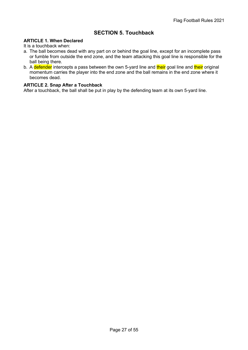# SECTION 5. Touchback

#### ARTICLE 1. When Declared

It is a touchback when:

- a. The ball becomes dead with any part on or behind the goal line, except for an incomplete pass or fumble from outside the end zone, and the team attacking this goal line is responsible for the ball being there.
- b. A defender intercepts a pass between the own 5-yard line and their goal line and their original momentum carries the player into the end zone and the ball remains in the end zone where it becomes dead.

#### ARTICLE 2. Snap After a Touchback

After a touchback, the ball shall be put in play by the defending team at its own 5-yard line.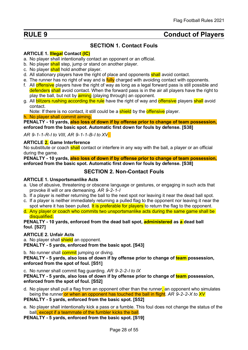# RULE 9 Conduct of Players

# SECTION 1. Contact Fouls

#### ARTICLE 1. **Illegal Contact (IC)**

- a. No player shall intentionally contact an opponent or an official.
- b. No player shall step, jump or stand on another player.
- c. No player shall hold another player.
- d. All stationary players have the right of place and opponents shall avoid contact.
- e. The runner has no right of way and is **fully** charged with avoiding contact with opponents.
- f. All offensive players have the right of way as long as a legal forward pass is still possible and defenders shall avoid contact. When the forward pass is in the air all players have the right to play the ball, but not by **aiming** (playing through) an opponent.
- g. All blitzers rushing according the rule have the right of way and offensive players shall avoid contact.

Note: If there is no contact, it still could be a **shield** by the **offensive** player.

h. No player shall commit aiming.

PENALTY - 10 vards, also loss of down if by offense prior to change of team possession. enforced from the basic spot. Automatic first down for fouls by defense. [S38]

AR 9-1-1-R-I to VIII, AR 9-1-1-B-I to XV

#### ARTICLE 2. Game Interference

No substitute or coach shall contact or interfere in any way with the ball, a player or an official during the game.

PENALTY - 10 yards, also loss of down if by offense prior to change of team possession, enforced from the basic spot. Automatic first down for fouls by defense. [S38]

#### SECTION 2. Non-Contact Fouls

#### ARTICLE 1. Unsportsmanlike Acts

- a. Use of abusive, threatening or obscene language or gestures, or engaging in such acts that provoke ill will or are demeaning. AR 9-2-1-I
- b. If a player is neither returning the ball to the next spot nor leaving it near the dead ball spot.
- c. If a player is neither immediately returning a pulled flag to the opponent nor leaving it near the spot where it has been pulled. It is preferable for players to return the flag to the opponent.
- d. Any player or coach who commits two unsportsmanlike acts during the same game shall be disqualified.

#### PENALTY - 10 yards, enforced from the dead ball spot, **administered** as a dead ball foul. [S27]

#### ARTICLE 2. Unfair Acts

a. No player shall **shield** an opponent.

PENALTY - 5 yards, enforced from the basic spot. [S43]

b. No runner shall **commit** jumping or diving.

PENALTY - 5 yards, also loss of down if by offense prior to change of team possession, enforced from the spot of foul. [S51]

c. No runner shall commit flag guarding. AR 9-2-2-I to IX

PENALTY - 5 yards, also loss of down if by offense prior to change of team possession, enforced from the spot of foul. [S52]

d. No player shall pull a flag from an opponent other than the runner, an opponent who simulates being the runner or when an opponent has touched the ball in flight. AR 9-2-2-X to  $XY$ 

#### PENALTY - 5 yards, enforced from the basic spot. [S52]

e. No player shall intentionally kick a pass or a fumble. This foul does not change the status of the ball, except if a teammate of the fumbler kicks the ball.

PENALTY - 5 yards, enforced from the basic spot. [S19]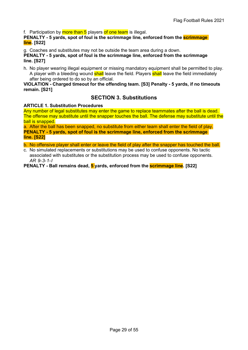f. Participation by more than 5 players of one team is illegal.

#### PENALTY - 5 yards, spot of foul is the scrimmage line, enforced from the **scrimmage** line. [S22]

g. Coaches and substitutes may not be outside the team area during a down.

PENALTY - 5 yards, spot of foul is the scrimmage line, enforced from the scrimmage line. [S27]

h. No player wearing illegal equipment or missing mandatory equipment shall be permitted to play. A player with a bleeding wound **shall** leave the field. Players **shall** leave the field immediately after being ordered to do so by an official.

#### VIOLATION - Charged timeout for the offending team. [S3] Penalty - 5 yards, if no timeouts remain. [S21]

### SECTION 3. Substitutions

#### ARTICLE 1. Substitution Procedures

Any number of legal substitutes may enter the game to replace teammates after the ball is dead. The offense may substitute until the snapper touches the ball. The defense may substitute until the ball is snapped.

a. After the ball has been snapped, no substitute from either team shall enter the field of play. PENALTY - 5 yards, spot of foul is the scrimmage line, enforced from the scrimmage line. [S22]

b. No offensive player shall enter or leave the field of play after the snapper has touched the ball.

c. No simulated replacements or substitutions may be used to confuse opponents. No tactic associated with substitutes or the substitution process may be used to confuse opponents. AR 9-3-1-I

PENALTY - Ball remains dead, 5 yards, enforced from the **scrimmage line**. [S22]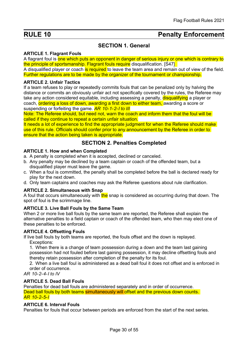# RULE 10 **Penalty Enforcement**

# SECTION 1. General

#### ARTICLE 1. Flagrant Fouls

A flagrant foul is one which puts an opponent in danger of serious injury or one which is contrary to the principle of sportsmanship. Flagrant fouls require disqualification. [S47]

A disqualified player or coach is required to leave the team area and remain out of view of the field. Further regulations are to be made by the organizer of the tournament or championship.

#### ARTICLE 2. Unfair Tactics

If a team refuses to play or repeatedly commits fouls that can be penalized only by halving the distance or commits an obviously unfair act not specifically covered by the rules, the Referee may take any action considered equitable, including assessing a penalty, **disqualifying** a player or coach, ordering a loss of down, awarding a first down to either team, awarding a score or suspending or forfeiting the game. **AR 10-1-2-I to III** 

Note: The Referee should, but need not, warn the coach and inform them that the foul will be called if they continue to repeat a certain unfair situation.

It needs a lot of experience to find the appropriate judgment for when the Referee should make use of this rule. Officials should confer prior to any announcement by the Referee in order to ensure that the action being taken is appropriate.

### SECTION 2. Penalties Completed

#### ARTICLE 1. How and when Completed

- a. A penalty is completed when it is accepted, declined or canceled.
- b. Any penalty may be declined by a team captain or coach of the offended team, but a disqualified player must leave the game.
- c. When a foul is committed, the penalty shall be completed before the ball is declared ready for play for the next down.
- d. Only team captains and coaches may ask the Referee questions about rule clarification.

#### ARTICLE 2. Simultaneous with Snap

A foul that occurs simultaneously with the snap is considered as occurring during that down. The spot of foul is the scrimmage line.

#### ARTICLE 3. Live Ball Fouls by the Same Team

When 2 or more live ball fouls by the same team are reported, the Referee shall explain the alternative penalties to a field captain or coach of the offended team, who then may elect one of these penalties to be enforced.

#### ARTICLE 4. Offsetting Fouls

If live ball fouls by both teams are reported, the fouls offset and the down is replayed. Exceptions:

1. When there is a change of team possession during a down and the team last gaining possession had not fouled before last gaining possession, it may decline offsetting fouls and thereby retain possession after completion of the penalty for its foul.

2. When a live ball foul is administered as a dead ball foul it does not offset and is enforced in order of occurrence.

AR 10-2-4-I to IV

#### ARTICLE 5. Dead Ball Fouls

Penalties for dead ball fouls are administered separately and in order of occurrence. Dead ball fouls by both teams simultaneously will offset and the previous down counts. AR 10-2-5-I

#### ARTICLE 6. Interval Fouls

Penalties for fouls that occur between periods are enforced from the start of the next series.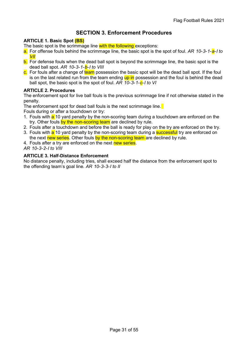# SECTION 3. Enforcement Procedures

#### ARTICLE 1. Basic Spot (BS)

The basic spot is the scrimmage line with the following exceptions:

- a. For offense fouls behind the scrimmage line, the basic spot is the spot of foul. AR 10-3-1- $a$ -I to  $VII$
- b. For defense fouls when the dead ball spot is beyond the scrimmage line, the basic spot is the dead ball spot. AR 10-3-1-b-I to VIII
- c. For fouls after a change of team possession the basic spot will be the dead ball spot. If the foul is on the last related run from the team ending up in possession and the foul is behind the dead ball spot, the basic spot is the spot of foul.  $AR$  10-3-1- $c$ -I to VI

#### ARTICLE 2. Procedures

The enforcement spot for live ball fouls is the previous scrimmage line if not otherwise stated in the penalty.

The enforcement spot for dead ball fouls is the next scrimmage line.

Fouls during or after a touchdown or try:

- 1. Fouls with a 10 yard penalty by the non-scoring team during a touchdown are enforced on the try. Other fouls by the non-scoring team are declined by rule.
- 2. Fouls after a touchdown and before the ball is ready for play on the try are enforced on the try.
- 3. Fouls with a 10 yard penalty by the non-scoring team during a **successful** try are enforced on the next new series. Other fouls by the non-scoring team are declined by rule.
- 4. Fouls after a try are enforced on the next new series.

AR 10-3-2-I to VIII

#### ARTICLE 3. Half-Distance Enforcement

No distance penalty, including tries, shall exceed half the distance from the enforcement spot to the offending team's goal line. AR 10-3-3-I to II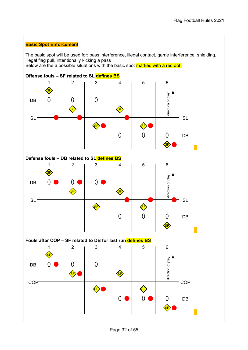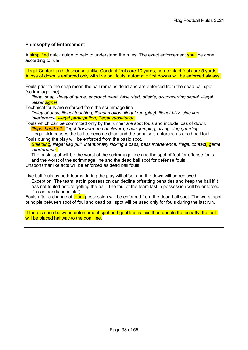#### Philosophy of Enforcement

A simplified quick quide to help to understand the rules. The exact enforcement shall be done according to rule.

Illegal Contact and Unsportsmanlike Conduct fouls are 10 yards, non-contact fouls are 5 yards. A loss of down is enforced only with live ball fouls, automatic first downs will be enforced always.

Fouls prior to the snap mean the ball remains dead and are enforced from the dead ball spot (scrimmage line).

Illegal snap, delay of game, encroachment, false start, offside, disconcerting signal, illegal blitzer signal

Technical fouls are enforced from the scrimmage line.

Delay of pass, illegal touching, illegal motion, illegal run (play), illegal blitz, side line interference, illegal participation, illegal substitution

Fouls which can be committed only by the runner are spot fouls and include loss of down. Illegal hand-off, illegal (forward and backward) pass, jumping, diving, flag guarding Illegal kick causes the ball to become dead and the penalty is enforced as dead ball foul

Fouls during the play will be enforced from the basic spot.

Shielding, illegal flag pull, intentionally kicking a pass, pass interference, illegal contact, game *interference* 

The basic spot will be the worst of the scrimmage line and the spot of foul for offense fouls and the worst of the scrimmage line and the dead ball spot for defense fouls.

Unsportsmanlike acts will be enforced as dead ball fouls.

Live ball fouls by both teams during the play will offset and the down will be replayed. Exception: The team last in possession can decline offsetting penalties and keep the ball if it has not fouled before getting the ball. The foul of the team last in possession will be enforced. ("clean hands principle")

Fouls after a change of team possession will be enforced from the dead ball spot. The worst spot principle between spot of foul and dead ball spot will be used only for fouls during the last run.

If the distance between enforcement spot and goal line is less than double the penalty, the ball will be placed halfway to the goal line.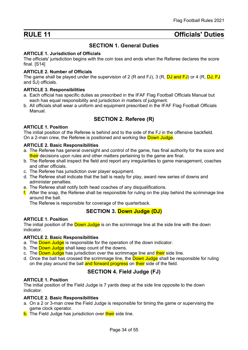# RULE 11 **Details RULE 11 Details Contract Contract Contract Contract Contract Contract Contract Contract Contract Contract Contract Contract Contract Contract Contract Contract Contract Contract Contract Contract Con**

# SECTION 1. General Duties

#### ARTICLE 1. Jurisdiction of Officials

The officials' jurisdiction begins with the coin toss and ends when the Referee declares the score final. [S14]

#### ARTICLE 2. Number of Officials

The game shall be played under the supervision of 2 (R and FJ), 3 (R,  $\overline{DJ}$  and FJ) or 4 (R,  $\overline{DJ}$ , FJ and SJ) officials.

#### ARTICLE 3. Responsibilities

- a. Each official has specific duties as prescribed in the IFAF Flag Football Officials Manual but each has equal responsibility and jurisdiction in matters of judgment.
- b. All officials shall wear a uniform and equipment prescribed in the IFAF Flag Football Officials Manual.

# SECTION 2. Referee (R)

#### ARTICLE 1. Position

The initial position of the Referee is behind and to the side of the FJ in the offensive backfield. On a 2-man crew, the Referee is positioned and working like Down Judge.

#### ARTICLE 2. Basic Responsibilities

- a. The Referee has general oversight and control of the game, has final authority for the score and their decisions upon rules and other matters pertaining to the game are final.
- b. The Referee shall inspect the field and report any irregularities to game management, coaches and other officials.
- c. The Referee has jurisdiction over player equipment.
- d. The Referee shall indicate that the ball is ready for play, award new series of downs and administer penalties.
- e. The Referee shall notify both head coaches of any disqualifications.
- $f<sub>l</sub>$ . After the snap, the Referee shall be responsible for ruling on the play behind the scrimmage line around the ball.

The Referee is responsible for coverage of the quarterback.

### SECTION 3. Down Judge (DJ)

#### ARTICLE 1. Position

The initial position of the **Down Judge** is on the scrimmage line at the side line with the down indicator.

#### ARTICLE 2. Basic Responsibilities

- a. The **Down Judge** is responsible for the operation of the down indicator.
- b. The **Down Judge** shall keep count of the downs.
- c. The Down Judge has jurisdiction over the scrimmage line and their side line.
- d. Once the ball has crossed the scrimmage line, the **Down Judge** shall be responsible for ruling on the play around the ball and forward progress on their side of the field.

### SECTION 4. Field Judge (FJ)

#### ARTICLE 1. Position

The initial position of the Field Judge is 7 yards deep at the side line opposite to the down indicator.

#### ARTICLE 2. Basic Responsibilities

- a. On a 2 or 3-man crew the Field Judge is responsible for timing the game or supervising the game clock operator.
- b. The Field Judge has jurisdiction over their side line.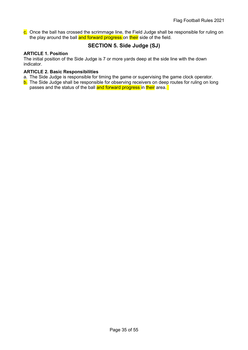c. Once the ball has crossed the scrimmage line, the Field Judge shall be responsible for ruling on the play around the ball and forward progress on their side of the field.

# SECTION 5. Side Judge (SJ)

#### ARTICLE 1. Position

The initial position of the Side Judge is 7 or more yards deep at the side line with the down indicator.

#### ARTICLE 2. Basic Responsibilities

- a. The Side Judge is responsible for timing the game or supervising the game clock operator.
- b. The Side Judge shall be responsible for observing receivers on deep routes for ruling on long passes and the status of the ball and forward progress in their area.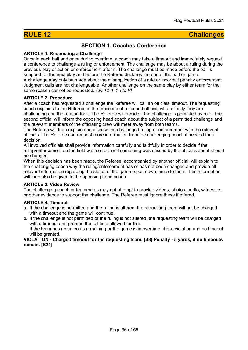# RULE 12 Challenges

# SECTION 1. Coaches Conference

#### ARTICLE 1. Requesting a Challenge

Once in each half and once during overtime, a coach may take a timeout and immediately request a conference to challenge a ruling or enforcement. The challenge may be about a ruling during the previous play or action or enforcement after it. The challenge must be made before the ball is snapped for the next play and before the Referee declares the end of the half or game. A challenge may only be made about the misapplication of a rule or incorrect penalty enforcement. Judgment calls are not challengeable. Another challenge on the same play by either team for the same reason cannot be requested. AR 12-1-1-1 to VI

#### ARTICLE 2. Procedure

After a coach has requested a challenge the Referee will call an officials' timeout. The requesting coach explains to the Referee, in the presence of a second official, what exactly they are challenging and the reason for it. The Referee will decide if the challenge is permitted by rule. The second official will inform the opposing head coach about the subject of a permitted challenge and the relevant members of the officiating crew will meet away from both teams.

The Referee will then explain and discuss the challenged ruling or enforcement with the relevant officials. The Referee can request more information from the challenging coach if needed for a decision.

All involved officials shall provide information carefully and faithfully in order to decide if the ruling/enforcement on the field was correct or if something was missed by the officials and it should be changed.

When this decision has been made, the Referee, accompanied by another official, will explain to the challenging coach why the ruling/enforcement has or has not been changed and provide all relevant information regarding the status of the game (spot, down, time) to them. This information will then also be given to the opposing head coach.

#### ARTICLE 3. Video Review

The challenging coach or teammates may not attempt to provide videos, photos, audio, witnesses or other evidence to support the challenge. The Referee must ignore these if offered.

#### ARTICLE 4. Timeout

- a. If the challenge is permitted and the ruling is altered, the requesting team will not be charged with a timeout and the game will continue.
- b. If the challenge is not permitted or the ruling is not altered, the requesting team will be charged with a timeout and granted the full time allowed for this.

If the team has no timeouts remaining or the game is in overtime, it is a violation and no timeout will be granted.

#### VIOLATION - Charged timeout for the requesting team. [S3] Penalty - 5 yards, if no timeouts remain. [S21]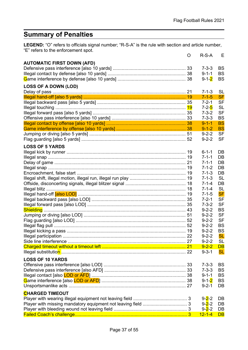# Summary of Penalties

**LEGEND:** "O" refers to officials signal number; "R-S-A" is the rule with section and article number, "E" refers to the enforcement spot.  $\overline{D} \overline{S} A$ 

|                                   | Ő | R-S-A                      | Е                      |
|-----------------------------------|---|----------------------------|------------------------|
| <b>AUTOMATIC FIRST DOWN (AFD)</b> |   |                            |                        |
|                                   |   | $7 - 3 - 3$                | <b>BS</b>              |
|                                   |   | $9 - 1 - 1$                | <b>BS</b>              |
|                                   |   | $9 - 1 - 2$                | <b>BS</b>              |
| <b>LOSS OF A DOWN (LOD)</b>       |   |                            |                        |
|                                   |   | $7 - 1 - 3$                | <b>SL</b>              |
|                                   |   | $7 - 1 - 5$                | <b>SF</b>              |
|                                   |   | $7 - 2 - 1$                | <b>SF</b>              |
|                                   |   | $7 - 2 - 5$                | <b>SL</b>              |
|                                   |   | $7 - 3 - 2$                | <b>SF</b>              |
|                                   |   | $7 - 3 - 3$                | <b>BS</b>              |
|                                   |   | $9 - 1 - 1$                | <b>BS</b>              |
|                                   |   | $9 - 1 - 2$                | <b>BS</b>              |
|                                   |   | $9 - 2 - 2$                | <b>SF</b>              |
|                                   |   | $9 - 2 - 2$                | <b>SF</b>              |
|                                   |   |                            |                        |
| <b>LOSS OF 5 YARDS</b>            |   | $6 - 1 - 1$                |                        |
|                                   |   | $7 - 1 - 1$                | DB<br>DB               |
|                                   |   | $7 - 1 - 1$                | DB                     |
|                                   |   | $7 - 1 - 2$                | DB                     |
|                                   |   |                            | DB                     |
|                                   |   | $7 - 1 - 3$                | <b>SL</b>              |
|                                   |   | $7 - 1 - 3$                |                        |
|                                   |   | $7 - 1 - 4$<br>$7 - 1 - 4$ | DB<br><b>SL</b>        |
|                                   |   |                            |                        |
|                                   |   | $7 - 1 - 5$<br>$7 - 2 - 1$ | <b>SF</b><br><b>SF</b> |
|                                   |   | $7 - 3 - 2$                | <b>SF</b>              |
|                                   |   | $9 - 2 - 2$                | <b>BS</b>              |
|                                   |   |                            | <b>SF</b>              |
|                                   |   | $9 - 2 - 2$                | <b>SF</b>              |
|                                   |   | $9 - 2 - 2$                | <b>BS</b>              |
|                                   |   | $9 - 2 - 2$<br>$9 - 2 - 2$ | <b>BS</b>              |
|                                   |   | $9 - 2 - 2$                | <b>SL</b>              |
|                                   |   | $9 - 2 - 2$                | <b>SL</b>              |
|                                   |   | $9 - 2 - 2$                | <b>DB</b>              |
|                                   |   | $9 - 3 - 1$                | <b>SL</b>              |
|                                   |   |                            |                        |
| <b>LOSS OF 10 YARDS</b>           |   |                            |                        |
|                                   |   | $7 - 3 - 3$                | <b>BS</b>              |
|                                   |   | $7 - 3 - 3$                | <b>BS</b>              |
|                                   |   | $9 - 1 - 1$                | <b>BS</b>              |
|                                   |   | $9 - 1 - 2$                | <b>BS</b>              |
|                                   |   | $9 - 2 - 1$                | DB                     |
| <b>CHARGED TIMEOUT</b>            |   |                            |                        |
|                                   |   | $9 - 2 - 2$                | DB                     |
|                                   |   | $9 - 2 - 2$                | DB                     |
|                                   |   | $9 - 2 - 2$                | DB                     |
|                                   |   | $12 - 1 - 4$               | DB                     |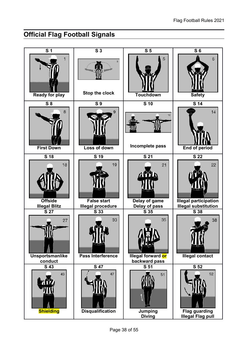# Official Flag Football Signals

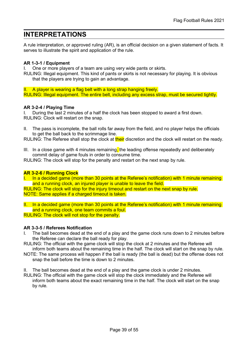# INTERPRETATIONS

A rule interpretation, or approved ruling (AR), is an official decision on a given statement of facts. It serves to illustrate the spirit and application of the rule.

#### AR 1-3-1 / Equipment

I. One or more players of a team are using very wide pants or skirts.

RULING: Illegal equipment. This kind of pants or skirts is not necessary for playing. It is obvious that the players are trying to gain an advantage.

II. A player is wearing a flag belt with a long strap hanging freely. RULING: Illegal equipment. The entire belt, including any excess strap, must be secured tightly.

#### AR 3-2-4 / Playing Time

I. During the last 2 minutes of a half the clock has been stopped to award a first down. RULING: Clock will restart on the snap.

II. The pass is incomplete, the ball rolls far away from the field, and no player helps the officials to get the ball back to the scrimmage line.

RULING: The Referee shall stop the clock at their discretion and the clock will restart on the ready.

III. In a close game with 4 minutes remaining, the leading offense repeatedly and deliberately commit delay of game fouls in order to consume time.

RULING: The clock will stop for the penalty and restart on the next snap by rule.

#### AR 3-2-6 / Running Clock

I. In a decided game (more than 30 points at the Referee's notification) with 1 minute remaining and a running clock, an injured player is unable to leave the field.

RULING: The clock will stop for the injury timeout and restart on the next snap by rule. NOTE: Same applies if a charged timeout is taken.

II. In a decided game (more than 30 points at the Referee's notification) with 1 minute remaining and a running clock, one team commits a foul. RULING: The clock will not stop for the penalty.

#### AR 3-3-5 / Referees Notification

- The ball becomes dead at the end of a play and the game clock runs down to 2 minutes before the Referee can declare the ball ready for play.
- RULING: The official with the game clock will stop the clock at 2 minutes and the Referee will inform both teams about the remaining time in the half. The clock will start on the snap by rule.
- NOTE: The same process will happen if the ball is ready (the ball is dead) but the offense does not snap the ball before the time is down to 2 minutes.
- II. The ball becomes dead at the end of a play and the game clock is under 2 minutes.
- RULING: The official with the game clock will stop the clock immediately and the Referee will inform both teams about the exact remaining time in the half. The clock will start on the snap by rule.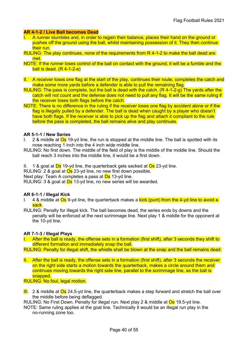#### AR 4-1-2 / Live Ball becomes Dead

- I. A runner stumbles and, in order to regain their balance, places their hand on the ground or pushes off the ground using the ball, whilst maintaining possession of it. They then continue their run.
- RULING: The play continues, none of the requirements from R 4-1-2 to make the ball dead are met.
- NOTE: If the runner loses control of the ball on contact with the ground, it will be a fumble and the ball is dead.  $(R<sub>4-1-2-e</sub>)$
- II. A receiver loses one flag at the start of the play, continues their route, completes the catch and make some more yards before a defender is able to pull the remaining flag.
- RULING: The pass is complete, but the ball is dead with the catch. (R 4-1-2-g) The yards after the catch will not count and the defense does not need to pull any flag. It will be the same ruling if the receiver loses both flags before the catch.
- NOTE: There is no difference in the ruling if the receiver loses one flag by accident alone or if the flag is illegally pulled by a defender. The ball is dead when caught by a player who doesn't have both flags. If the receiver is able to pick up the flag and attach it compliant to the rule before the pass is completed, the ball remains alive and play continues.

#### AR 5-1-1 / New Series

- I. 2 & middle at  $\overline{\text{Os}}$  19-yd line, the run is stopped at the middle line. The ball is spotted with its nose reaching 1 inch into the 4 inch wide middle line.
- RULING: No first down. The middle of the field of play is the middle of the middle line. Should the ball reach 3 inches into the middle line, it would be a first down.
- II. 1 & goal at  $\overline{Ds}$  19-yd line, the quarterback gets sacked at  $\overline{Os}$  23-yd line.

RULING: 2 & goal at **Os** 23-yd line, no new first down possible.

Next play: Team A completes a pass at **Ds** 13-yd line.

RULING: 3 & goal at **Ds** 13-yd line, no new series will be awarded.

#### AR 6-1-1 / Illegal Kick

- I. 4 & middle at  $\overline{Os}$  9-yd line, the quarterback makes a **kick (punt) from the 4-yd line to avoid a** sack.
- RULING: Penalty for illegal kick. The ball becomes dead, the series ends by downs and the penalty will be enforced at the next scrimmage line. Next play 1 & middle for the opponent at the 10-yd line.

#### AR 7-1-3 / Illegal Plays

- I. After the ball is ready, the offense sets in a formation (first shift), after 3 seconds they shift to different formation and immediately snap the ball.
- RULING: Penalty for illegal shift, the whistle shall be blown at the snap and the ball remains dead.
- II. After the ball is ready, the offense sets in a formation (first shift), after 3 seconds the receiver on the right side starts a motion towards the quarterback, makes a circle around them and continues moving towards the right side line, parallel to the scrimmage line, as the ball is snapped.

#### RULING: No foul, legal motion.

**III.** 2 & middle at  $\overline{Os}$  24.5-yd line, the quarterback makes a step forward and stretch the ball over the middle before being deflagged.

RULING: No First Down. Penalty for illegal run. Next play 2 & middle at Os 19.5-yd line.

NOTE: Same ruling applies at the goal line. Technically it would be an illegal run play in the no-running zone too.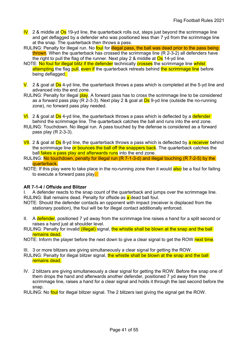- $\overline{IV}$ . 2 & middle at  $\overline{Os}$  19-yd line, the quarterback rolls out, steps just beyond the scrimmage line and get deflagged by a defender who was positioned less than 7 yd from the scrimmage line at the snap. The quarterback then throws a pass.
- RULING: Penalty for illegal run. No foul for illegal pass, the ball was dead prior to the pass being thrown. When the quarterback has crossed the scrimmage line (R 2-3-2) all defenders have the right to pull the flag of the runner. Next play 2  $\&$  middle at  $\overline{\text{Os}}$  14-yd line.
- NOTE: No foul for illegal blitz if the defender technically crosses the scrimmage line whilst attempting the flag pull, even if the quarterback retreats behind the scrimmage line before being deflagged.
- $V_1$  2 & goal at  $\overline{Ds}$  4-yd line, the quarterback throws a pass which is completed at the 5-yd line and advanced into the end zone.
- RULING: Penalty for illegal play. A forward pass has to cross the scrimmage line to be considered as a forward pass play (R 2-3-3). Next play 2 & goal at  $\overline{Ds}$  9-yd line (outside the no-running zone), no forward pass play needed.
- $\overline{VI}$ . 2 & goal at  $\overline{Ds}$  4-yd line, the quarterback throws a pass which is deflected by a **defender** behind the scrimmage line. The quarterback catches the ball and runs into the end zone.
- RULING: Touchdown. No illegal run. A pass touched by the defense is considered as a forward pass play (R 2-3-3).
- VII. 2 & goal at Ds 8-yd line, the quarterback throws a pass which is deflected by a receiver behind the scrimmage line or bounces the ball off the snappers back. The quarterback catches the ball fakes a pass play and afterwards runs into the end zone.
- RULING: No touchdown, penalty for illegal run (R 7-1-3-d) and illegal touching (R 7-2-5) by the quarterback.
- NOTE: If this play were to take place in the no-running zone then it would also be a foul for failing to execute a forward pass play.

#### AR 7-1-4 / Offside and Blitzer

I. A defender reacts to the snap count of the quarterback and jumps over the scrimmage line. RULING: Ball remains dead. Penalty for offside as a dead ball foul.

NOTE: Should the defender contacts an opponent with impact (receiver is displaced from the stationary position), the foul will be for illegal contact additionally enforced.

- II. A defender, positioned 7 yd away from the scrimmage line raises a hand for a split second or raises a hand just at shoulder level.
- RULING: Penalty for invalid (illegal) signal, the whistle shall be blown at the snap and the ball remains dead.
- NOTE: Inform the player before the next down to give a clear signal to get the ROW next time.
- III. 3 or more blitzers are giving simultaneously a clear signal for getting the ROW.
- RULING: Penalty for illegal blitzer signal, the whistle shall be blown at the snap and the ball remains dead.
- IV. 2 blitzers are giving simultaneously a clear signal for getting the ROW. Before the snap one of them drops the hand and afterwards another defender, positioned 7 yd away from the scrimmage line, raises a hand for a clear signal and holds it through the last second before the snap.

RULING: No foul for illegal blitzer signal. The 2 blitzers last giving the signal get the ROW.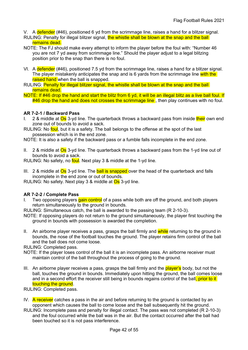- V. A defender (#46), positioned 6 yd from the scrimmage line, raises a hand for a blitzer signal.
- RULING: Penalty for illegal blitzer signal, the whistle shall be blown at the snap and the ball remains dead.
- NOTE: The FJ should make every attempt to inform the player before the foul with: "Number 46 you are not 7 yd away from scrimmage line." Should the player adjust to a legal blitzing position prior to the snap than there is no foul.
- VI. A defender (#46), positioned 7.5 yd from the scrimmage line, raises a hand for a blitzer signal. The player mistakenly anticipates the snap and is 6 yards from the scrimmage line with the raised hand when the ball is snapped.
- RULING: Penalty for illegal blitzer signal, the whistle shall be blown at the snap and the ball remains dead.
- NOTE: If #46 drop the hand and start the blitz from 6 yd, it will be an illegal blitz as a live ball foul. If  $#46$  drop the hand and does not crosses the scrimmage line, then play continues with no foul.

#### AR 7-2-1 / Backward Pass

- I. 2 & middle at Os 3-yd line. The quarterback throws a backward pass from inside their own end zone out of bounds to avoid a sack.
- RULING: No foul, but it is a safety. The ball belongs to the offense at the spot of the last possession which is in the end zone.
- NOTE: It is also a safety if the backward pass or a fumble falls incomplete in the end zone.
- II. 2 & middle at  $\overline{Os}$  3-yd line. The quarterback throws a backward pass from the 1-yd line out of bounds to avoid a sack.
- RULING: No safety, no **foul**. Next play 3 & middle at the 1-yd line.
- III. 2 & middle at  $\overline{Os}$  3-yd line. The **ball is snapped** over the head of the quarterback and falls incomplete in the end zone or out of bounds.

RULING: No safety. Next play 3  $\&$  middle at  $\overline{Os}$  3-yd line.

#### AR 7-2-2 / Complete Pass

Two opposing players gain control of a pass while both are off the ground, and both players return simultaneously to the ground in bounds.

RULING: Simultaneous catch, the ball is awarded to the passing team (R 2-10-3).

NOTE: If opposing players do not return to the ground simultaneously, the player first touching the ground in bounds with possession is awarded the completion.

II. An airborne player receives a pass, grasps the ball firmly and while returning to the ground in bounds, the nose of the football touches the ground. The player retains firm control of the ball and the ball does not come loose.

RULING: Completed pass.

- NOTE: If the player loses control of the ball it is an incomplete pass. An airborne receiver must maintain control of the ball throughout the process of going to the ground.
- III. An airborne player receives a pass, grasps the ball firmly and the **player's** body, but not the ball, touches the ground in bounds. Immediately upon hitting the ground, the ball comes loose and in a second effort the receiver still being in bounds regains control of the ball, prior to it touching the ground.
- RULING: Completed pass.
- IV. A receiver catches a pass in the air and before returning to the ground is contacted by an opponent which causes the ball to come loose and the ball subsequently hit the ground.
- RULING: Incomplete pass and penalty for illegal contact. The pass was not completed (R 2-10-3) and the foul occurred while the ball was in the air. But the contact occurred after the ball had been touched so it is not pass interference.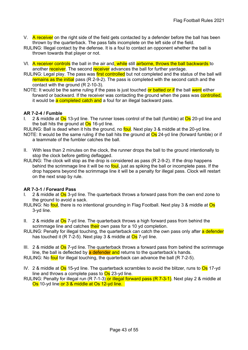- V. A receiver on the right side of the field gets contacted by a defender before the ball has been thrown by the quarterback. The pass falls incomplete on the left side of the field.
- RULING: Illegal contact by the defense. It is a foul to contact an opponent whether the ball is thrown towards that player or not.
- VI. A receiver controls the ball in the air and, while still airborne, throws the ball backwards to another receiver. The second receiver advances the ball for further vardage.
- RULING: Legal play. The pass was first controlled but not completed and the status of the ball will remains as the initial pass (R 2-9-2). The pass is completed with the second catch and the contact with the ground (R 2-10-3).
- NOTE: It would be the same ruling if the pass is just touched or batted or if the ball went either forward or backward. If the receiver was contacting the ground when the pass was controlled, it would be a completed catch and a foul for an illegal backward pass.

#### AR 7-2-4 / Fumble

- I. 2 & middle at Os 13-yd line. The runner loses control of the ball (fumble) at Os 20-yd line and the ball hits the ground at  $\overline{Os}$  16-yd line.
- RULING: Ball is dead when it hits the ground, no foul. Next play 3 & middle at the 20-yd line.
- NOTE: It would be the same ruling if the ball hits the ground at  $\overline{Os}$  24-yd line (forward fumble) or if a teammate of the fumbler catches the ball.
- II. With less than 2 minutes on the clock, the runner drops the ball to the ground intentionally to stop the clock before getting deflagged.
- RULING: The clock will stop as the drop is considered as pass (R 2-9-2). If the drop happens behind the scrimmage line it will be no foul, just as spiking the ball or incomplete pass. If the drop happens beyond the scrimmage line it will be a penalty for illegal pass. Clock will restart on the next snap by rule.

#### AR 7-3-1 / Forward Pass

- 2 & middle at Os 3-yd line. The quarterback throws a forward pass from the own end zone to the ground to avoid a sack.
- RULING: No foul, there is no intentional grounding in Flag Football. Next play 3 & middle at Os 3-yd line.
- II. 2 & middle at  $\overline{Os}$  7-yd line. The quarterback throws a high forward pass from behind the scrimmage line and catches their own pass for a 10 yd completion.
- RULING: Penalty for illegal touching, the quarterback can catch the own pass only after a defender has touched it  $(R \, 7-2-5)$ . Next play 3 & middle at  $Os$  7-yd line.
- III. 2 & middle at  $\overline{Os}$  7-yd line. The quarterback throws a forward pass from behind the scrimmage line, the ball is deflected by a defender and returns to the quarterback's hands.

RULING: No foul for illegal touching, the quarterback can advance the ball (R 7-2-5).

- IV. 2 & middle at Os 15-yd line. The quarterback scrambles to avoid the blitzer, runs to Os 17-yd line and throws a complete pass to  $\overline{Os}$  23-yd line.
- RULING: Penalty for illegal run (R 7-1-3) or illegal forward pass (R 7-3-1). Next play 2 & middle at Os 10-yd line or 3 & middle at Os 12-yd line.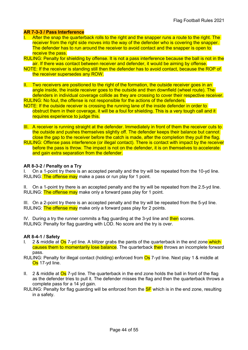#### AR 7-3-3 / Pass Interference

- I. After the snap the quarterback rolls to the right and the snapper runs a route to the right. The receiver from the right side moves into the way of the defender who is covering the snapper. The defender has to run around the receiver to avoid contact and the snapper is open to receive the pass.
- RULING: Penalty for shielding by offense. It is not a pass interference because the ball is not in the air. If there was contact between receiver and defender, it would be aiming by offense.
- NOTE: If the receiver is standing still then the defender has to avoid contact, because the ROP of the receiver supersedes any ROW.
- II. Two receivers are positioned to the right of the formation, the outside receiver goes in an angle inside, the inside receiver goes to the outside and then downfield (wheel route). The defenders in individual coverage collide as they are crossing to cover their respective receiver. RULING: No foul, the offense is not responsible for the actions of the defenders.
- NOTE: If the outside receiver is crossing the running lane of the inside defender in order to obstruct them in their coverage, it will be a foul for shielding. This is a very tough call and it
- requires experience to judge this.
- III. A receiver is running straight at the defender. Immediately in front of them the receiver cuts to the outside and pushes themselves slightly off. The defender keeps their balance but cannot close the gap to the receiver before the catch is made, after the completion they pull the flag.
- RULING: Offense pass interference (or illegal contact). There is contact with impact by the receiver before the pass is throw. The impact is not on the defender, it is on themselves to accelerate and gain extra separation from the defender.

#### AR 8-3-2 / Penalty on a Try

On a 1-point try there is an accepted penalty and the try will be repeated from the 10-yd line. RULING: The offense may make a pass or run play for 1 point.

II. On a 1-point try there is an accepted penalty and the try will be repeated from the 2.5-yd line. RULING: The offense may make only a forward pass play for 1 point.

III. On a 2-point try there is an accepted penalty and the try will be repeated from the 5-yd line. RULING: The offense may make only a forward pass play for 2 points.

IV. During a try the runner commits a flag guarding at the 3-yd line and then scores. RULING: Penalty for flag guarding with LOD. No score and the try is over.

#### AR 8-4-1 / Safety

- 2 & middle at Os 7-yd line. A blitzer grabs the pants of the quarterback in the end zone which causes them to momentarily lose balance. The quarterback then throws an incomplete forward pass.
- RULING: Penalty for illegal contact (holding) enforced from **Os** 7-yd line. Next play 1 & middle at Os 17-yd line.
- II. 2 & middle at  $\overline{Os}$  7-yd line. The quarterback in the end zone holds the ball in front of the flag as the defender tries to pull it. The defender misses the flag and then the quarterback throws a complete pass for a 14 yd gain.
- RULING: Penalty for flag guarding will be enforced from the **SF** which is in the end zone, resulting in a safety.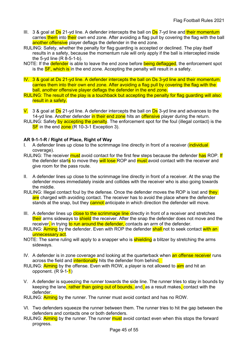- III. 3 & goal at  $\overline{Ds}$  21-yd line. A defender intercepts the ball on  $\overline{Ds}$  7-yd line and their momentum carries them into their own end zone. After avoiding a flag pull by covering the flag with the ball another offensive player deflags the defender in the end zone.
- RULING: Safety, whether the penalty for flag guarding is accepted or declined. The play itself results in a safety, because the momentum rule will only apply if the ball is intercepted inside the 5-yd line (R 8-5-1-b).
- NOTE: If the defender is able to leave the end zone before being deflagged, the enforcement spot is the **SF, which is** in the end zone. Accepting the penalty will result in a safety.
- IV. 3 & goal at Ds 21-yd line. A defender intercepts the ball on Ds 3-yd line and their momentum carries them into their own end zone. After avoiding a flag pull by covering the flag with the ball, another offensive player deflags the defender in the end zone.
- RULING: The result of the play is a touchback but accepting the penalty for flag guarding will also result in a safety.
- $\overline{V}$ . 3 & goal at  $\overline{Ds}$  21-yd line. A defender intercepts the ball on  $\overline{Ds}$  3-yd line and advances to the 14-yd line. Another defender in their end zone hits an offensive player during the return.
- RULING: Safety by accepting the penalty. The enforcement spot for the foul (illegal contact) is the SF in the end zone (R 10-3-1 Exception 3).

#### AR 9-1-1-R / Right of Place, Right of Way

- A defender lines up close to the scrimmage line directly in front of a receiver (individual coverage).
- RULING: The receiver *must* avoid contact for the first few steps because the defender has ROP. If the defender starts to move they will lose ROP and must avoid contact with the receiver and give room for the pass route.
- II. A defender lines up close to the scrimmage line directly in front of a receiver. At the snap the defender moves immediately inside and collides with the receiver who is also going towards the middle.
- RULING: Illegal contact foul by the defense. Once the defender moves the ROP is lost and they are charged with avoiding contact. The receiver has to avoid the place where the defender stands at the snap, but they **cannot** anticipate in which direction the defender will move.
- III. A defender lines up close to the scrimmage line directly in front of a receiver and stretches their arms sideways to shield the receiver. After the snap the defender does not move and the receiver, in trying to run around the defender, contacts an arm of the defender.
- RULING: **Aiming** by the defender. Even with ROP the defender **shall** not to seek contact with an unnecessary act.
- NOTE: The same ruling will apply to a snapper who is **shielding** a blitzer by stretching the arms sideways.
- IV. A defender is in zone coverage and looking at the quarterback when an offense receiver runs across the field and *intentionally* hits the defender from behind.
- RULING: **Aiming** by the offense. Even with ROW, a player is not allowed to **aim** and hit an opponent.  $(R \, 9-1-1)$
- V. A defender is squeezing the runner towards the side line. The runner tries to stay in bounds by keeping the lane, rather than going out of bounds, and, as a result makes, contact with the defender.
- RULING: Aiming by the runner. The runner must avoid contact and has no ROW.
- VI. Two defenders squeeze the runner between them. The runner tries to hit the gap between the defenders and contacts one or both defenders.
- RULING: **Aiming** by the runner. The runner **must** avoid contact even when this stops the forward progress.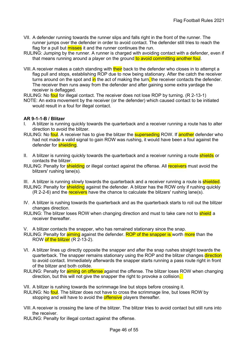- VII. A defender running towards the runner slips and falls right in the front of the runner. The runner jumps over the defender in order to avoid contact. The defender still tries to reach the flag for a pull but misses it and the runner continues the run.
- RULING: Jumping by the runner. A runner is charged with avoiding contact with a defender, even if that means running around a player on the ground to avoid committing another foul.
- VIII. A receiver makes a catch standing with their back to the defender who closes in to attempt a flag pull and stops, establishing ROP due to now being stationary. After the catch the receiver turns around on the spot and  $\overline{in}$  the act of making the turn, the receiver contacts the defender. The receiver then runs away from the defender and after gaining some extra yardage the receiver is deflagged.
- RULING: No foul for illegal contact. The receiver does not lose ROP by turning. (R 2-13-1)
- NOTE: An extra movement by the receiver (or the defender) which caused contact to be initiated would result in a foul for illegal contact.

#### AR 9-1-1-B / Blitzer

- A blitzer is running quickly towards the quarterback and a receiver running a route has to alter direction to avoid the blitzer.
- RULING: No foul. A receiver has to give the blitzer the **superseding** ROW. If another defender who had not made a valid signal to gain ROW was rushing, it would have been a foul against the defender for shielding.
- II. A blitzer is running quickly towards the quarterback and a receiver running a route shields or contacts the blitzer.
- RULING: Penalty for **shielding** or illegal contact against the offense. All receivers must avoid the blitzers' rushing lane(s).
- III. A blitzer is running slowly towards the quarterback and a receiver running a route is shielded.
- RULING: Penalty for **shielding** against the defender. A blitzer has the ROW only if rushing quickly  $(R 2-2-6)$  and the receivers have the chance to calculate the blitzers' rushing lane(s).
- IV. A blitzer is rushing towards the quarterback and as the quarterback starts to roll out the blitzer changes direction.
- RULING: The blitzer loses ROW when changing direction and must to take care not to **shield** a receiver thereafter.
- V. A blitzer contacts the snapper, who has remained stationary since the snap.
- RULING: Penalty for **aiming** against the defender. ROP of the snapper is worth more than the ROW of the blitzer (R 2-13-2).
- VI. A blitzer lines up directly opposite the snapper and after the snap rushes straight towards the quarterback. The snapper remains stationary using the ROP and the blitzer changes direction to avoid contact. Immediately afterwards the snapper starts running a pass route right in front of the blitzer and both collide.
- RULING: Penalty for **aiming on offense** against the offense. The blitzer loses ROW when changing direction, but this will not give the snapper the right to provoke a collision.
- VII. A blitzer is rushing towards the scrimmage line but stops before crossing it.
- RULING: No foul. The blitzer does not have to cross the scrimmage line, but loses ROW by stopping and will have to avoid the **offensive** players thereafter.
- VIII. A receiver is crossing the lane of the blitzer. The blitzer tries to avoid contact but still runs into the receiver.
- RULING: Penalty for illegal contact against the offense.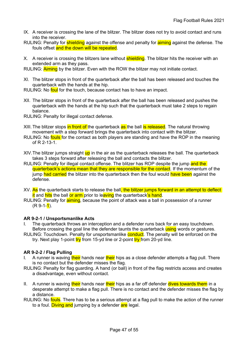- IX. A receiver is crossing the lane of the blitzer. The blitzer does not try to avoid contact and runs into the receiver.
- RULING: Penalty for **shielding** against the offense and penalty for **aiming** against the defense. The fouls offset and the down will be repeated.
- X. A receiver is crossing the blitzers lane without shielding. The blitzer hits the receiver with an extended arm as they pass.

RULING: **Aiming** by the blitzer. Even with the ROW the blitzer may not initiate contact.

XI. The blitzer stops in front of the quarterback after the ball has been released and touches the quarterback with the hands at the hip.

RULING: No foul for the touch, because contact has to have an impact.

- XII. The blitzer stops in front of the quarterback after the ball has been released and pushes the quarterback with the hands at the hip such that the quarterback must take 2 steps to regain balance.
- RULING: Penalty for illegal contact defense.
- XIII. The blitzer stops in front of the quarterback as the ball is released. The natural throwing movement with a step forward brings the quarterback into contact with the blitzer.
- RULING: No fouls for the contact as both players are standing and have the ROP in the meaning of R 2-13-1.
- XIV. The blitzer jumps straight up in the air as the quarterback releases the ball. The quarterback takes 3 steps forward after releasing the ball and contacts the blitzer.
- RULING: Penalty for illegal contact offense. The blitzer has ROP despite the jump and the quarterback's actions mean that they are responsible for the contact. If the momentum of the jump had carried the blitzer into the quarterback then the foul would have been against the defense.
- XV. As the quarterback starts to release the ball, the blitzer jumps forward in an attempt to deflect it and hits the ball or arm prior to leaving the quarterback's hand.
- RULING: Penalty for **aiming**, because the point of attack was a ball in possession of a runner  $(R 9-1-1)$ .

#### AR 9-2-1 / Unsportsmanlike Acts

- The quarterback throws an interception and a defender runs back for an easy touchdown. Before crossing the goal line the defender taunts the quarterback using words or gestures.
- RULING: Touchdown. Penalty for unsportsmanlike conduct. The penalty will be enforced on the try. Next play 1-point  $\frac{trv}{dr}$  from 15-yd line or 2-point  $\frac{trv}{dr}$  from 20-yd line.

#### AR 9-2-2 / Flag Pulling

- A runner is waving their hands near their hips as a close defender attempts a flag pull. There is no contact but the defender misses the flag.
- RULING: Penalty for flag guarding. A hand (or ball) in front of the flag restricts access and creates a disadvantage, even without contact.
- II. A runner is waving their hands near their hips as a far off defender dives towards them in a desperate attempt to make a flag pull. There is no contact and the defender misses the flag by a distance.
- RULING: No fouls. There has to be a serious attempt at a flag pull to make the action of the runner to a foul. Diving and jumping by a defender are legal.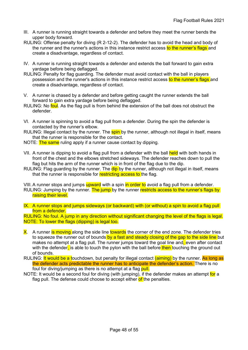- III. A runner is running straight towards a defender and before they meet the runner bends the upper body forward.
- RULING: Offense penalty for diving (R 2-12-2). The defender has to avoid the head and body of the runner and the runner's actions in this instance restrict access to the runner's flags and create a disadvantage, regardless of contact.
- IV. A runner is running straight towards a defender and extends the ball forward to gain extra yardage before being deflagged.
- RULING: Penalty for flag guarding. The defender must avoid contact with the ball in players possession and the runner's actions in this instance restrict access to the runner's flags and create a disadvantage, regardless of contact.
- V. A runner is chased by a defender and before getting caught the runner extends the ball forward to gain extra yardage before being deflagged.
- RULING: No foul. As the flag pull is from behind the extension of the ball does not obstruct the defender.
- VI. A runner is spinning to avoid a flag pull from a defender. During the spin the defender is contacted by the runner's elbow.
- RULING: Illegal contact by the runner. The **spin** by the runner, although not illegal in itself, means that the runner is responsible for the contact.
- NOTE: The same ruling apply if a runner cause contact by dipping.
- VII. A runner is dipping to avoid a flag pull from a defender with the ball held with both hands in front of the chest and the elbows stretched sideways. The defender reaches down to pull the flag but hits the arm of the runner which is in front of the flag due to the dip.
- RULING: Flag guarding by the runner. The dip by the runner, although not illegal in itself, means that the runner is responsible for restricting access to the flag.
- VIII. A runner stops and jumps upward with a spin in order to avoid a flag pull from a defender. RULING: Jumping by the runner. The jump by the runner restricts access to the runner's flags by raising their level.
- IX. A runner stops and jumps sideways (or backward) with (or without) a spin to avoid a flag pull from a defender.

RULING: No foul. A jump in any direction without significant changing the level of the flags is legal. NOTE: To lower the flags (dipping) is legal too.

- X. A runner is moving along the side line towards the corner of the end zone. The defender tries to squeeze the runner out of bounds by a fast and steady closing of the gap to the side line but makes no attempt at a flag pull. The runner jumps toward the goal line and, even after contact with the defender, is able to touch the pylon with the ball before then touching the ground out of bounds.
- RULING: It would be a touchdown, but penalty for illegal contact (aiming) by the runner. As long as the defender acts predictable the runner has to anticipate the defender's action. There is no foul for diving/jumping as there is no attempt at a flag pull.
- NOTE: It would be a second foul for diving (with jumping), if the defender makes an attempt for a flag pull. The defense could choose to accept either of the penalties.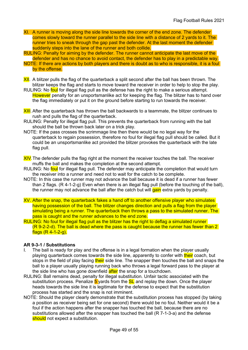- XI. A runner is moving along the side line towards the corner of the end zone. The defender comes slowly toward the runner parallel to the side line with a distance of 2 yards to it. The runner tries to sneak through the gap past the defender. At the last moment the defender suddenly steps into the lane of the runner and both collide.
- RULING: Penalty for aiming by the defender. The runner cannot anticipate the last move of the defender and has no chance to avoid contact, the defender has to play in a predictable way.
- NOTE: If there are actions by both players and there is doubt as to who is responsible, it is a foul by the offense.
- XII. A blitzer pulls the flag of the quarterback a split second after the ball has been thrown. The blitzer keeps the flag and starts to move toward the receiver in order to help to stop the play.
- RULING: No foul for illegal flag pull as the defense has the right to make a serious attempt. However penalty for an unsportsmanlike act for keeping the flag. The blitzer has to hand over the flag immediately or put it on the ground before starting to run towards the receiver.
- **XIII**. After the quarterback has thrown the ball backwards to a teammate, the blitzer continues to rush and pulls the flag of the quarterback.
- RULING: Penalty for illegal flag pull. This prevents the quarterback from running with the ball should the ball be thrown back later on a trick play.
- NOTE: If the pass crosses the scrimmage line then there would be no legal way for the quarterback to regain possession, therefore no foul for illegal flag pull should be called. But it could be an unsportsmanlike act provided the blitzer provokes the quarterback with the late flag pull.
- XIV. The defender pulls the flag right at the moment the receiver touches the ball. The receiver muffs the ball and makes the completion at the second attempt.
- RULING: No foul for illegal flag pull. The defender may anticipate the completion that would turn the receiver into a runner and need not to wait for the catch to be complete.
- NOTE: In this case the runner may not advance the ball because it is dead if a runner has fewer than 2 flags. (R 4-1-2-g) Even when there is an illegal flag pull (before the touching of the ball), the runner may not advance the ball after the catch but will gain extra yards by penalty.
- XV. After the snap, the quarterback fakes a hand off to another offensive player who simulates having possession of the ball. The blitzer changes direction and pulls a flag from the player simulating being a runner. The quarterback then throws a pass to the simulated runner. The pass is caught and the runner advances to the end zone.
- RULING: No foul for illegal flag pull as the blitzer has the right to deflag a simulated runner (R 9-2-2-d). The ball is dead where the pass is caught because the runner has fewer than 2 flags (R 4-1-2-g).

#### AR 9-3-1 / Substitutions

- I. The ball is ready for play and the offense is in a legal formation when the player usually playing quarterback comes towards the side line, apparently to confer with their coach, but stops in the field of play facing their side line. The snapper then touches the ball and snaps the ball to a player usually playing running back who throws a legal forward pass to the player at the side line who has gone downfield after the snap for a touchdown.
- RULING: Ball remains dead, penalty for illegal substitution. Unfair tactic associated with the substitution process. Penalize  $5$  yards from the  $SL$  and replay the down. Once the player heads towards the side line it is legitimate for the defense to expect that the substitution process has started and the snap is not imminent.
- NOTE: Should the player clearly demonstrate that the substitution process has stopped (by taking a position as receiver being set for one second) there would be no foul. Neither would it be a foul if the action happens after the snapper has touched the ball, because there are no substitutions allowed after the snapper has touched the ball (R 7-1-3-a) and the defense should not expect a substitution.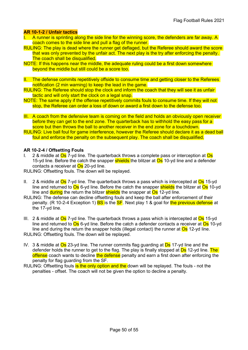#### AR 10-1-2 / Unfair tactics

- I. A runner is sprinting along the side line for the winning score, the defenders are far away. A coach comes to the side line and pull a flag of the runner.
- RULING: The play is dead where the runner get deflaged, but the Referee should award the score that was only prevented by the unfair act. The next play is the try after enforcing the penalty. The coach shall be disqualified.
- NOTE: If this happens near the middle, the adequate ruling could be a first down somewhere beyond the middle but still could be a score too.
- II. The defense commits repetitively offside to consume time and getting closer to the Referees notification (2 min warning) to keep the lead in the game.
- RULING: The Referee should stop the clock and inform the coach that they will see it as unfair tactic and will only start the clock on a legal snap.
- NOTE: The same apply if the offense repetitively commits fouls to consume time. If they will not stop, the Referee can order a loss of down or award a first down to the defense too.
- III. A coach from the defensive team is coming on the field and holds an obviously open receiver before they can get to the end zone. The quarterback has to withhold the easy pass for a score but then throws the ball to another receiver in the end zone for a touchdown.
- RULING: Live ball foul for game interference, however the Referee should declare it as a dead ball foul and enforce the penalty on the subsequent play. The coach shall be disqualified.

#### AR 10-2-4 / Offsetting Fouls

I. 2 & middle at  $\overline{Os}$  7-yd line. The quarterback throws a complete pass or interception at  $\overline{Os}$ 15-yd line. Before the catch the snapper **shields** the blitzer at **Os** 10-yd line and a defender contacts a receiver at **Os** 20-yd line.

RULING: Offsetting fouls. The down will be replayed.

- II. 2 & middle at  $\overline{Os}$  7-yd line. The quarterback throws a pass which is intercepted at  $\overline{Os}$  15-yd line and returned to  $\overline{Os}$  6-yd line. Before the catch the snapper shields the blitzer at  $\overline{Os}$  10-yd line and **during** the return the blitzer **shields** the snapper at  $\overline{Os}$  12-yd line.
- RULING: The defense can decline offsetting fouls and keep the ball after enforcement of their penalty. (R 10-2-4 Exception 1) **BS** is the **SF**. Next play 1 & goal for the previous defense at the 17-yd line.
- III. 2 & middle at  $\overline{Os}$  7-yd line. The quarterback throws a pass which is intercepted at  $\overline{Os}$  15-yd line and returned to  $\overline{\text{Os}}$  6-yd line. Before the catch a defender contacts a receiver at  $\overline{\text{Os}}$  10-yd line and during the return the snapper holds (illegal contact) the runner at  $\overline{\mathrm{Os}}$  12-yd line. RULING: Offsetting fouls. The down will be replayed.
- IV. 3 & middle at  $\overline{Os}$  23-yd line. The runner commits flag guarding at  $\overline{Ds}$  17-yd line and the defender holds the runner to get to the flag. The play is finally stopped at **Ds** 12-yd line. The offense coach wants to decline the defense penalty and earn a first down after enforcing the penalty for flag guarding from the SF.
- RULING: Offsetting fouls is the only option and the down will be replayed. The fouls not the penalties - offset. The coach will not be given the option to decline a penalty.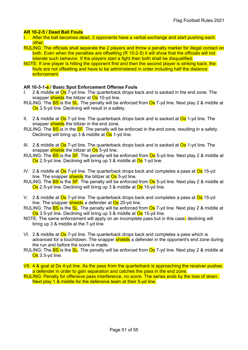#### AR 10-2-5 / Dead Ball Fouls

- I. After the ball becomes dead, 2 opponents have a verbal exchange and start pushing each other.
- RULING: The officials shall separate the 2 players and throw a penalty marker for illegal contact on both. Even when the penalties are offsetting (R 10-2-5) it will show that the officials will not tolerate such behavior. If the players start a fight then both shall be disqualified.
- NOTE: If one player is hitting the opponent first and then the second player is striking back, the fouls are not offsetting and have to be administered in order including half the distance enforcement.

#### AR 10-3-1-a / Basic Spot Enforcement Offense Fouls

- 2 & middle at Os 7-yd line. The quarterback drops back and is sacked in the end zone. The snapper shields the blitzer at Os 10-yd line.
- RULING: The **BS** is the **SL**. The penalty will be enforced from **Os** 7-yd line. Next play 2 & middle at Os 3.5-yd line. Declining will result in a safety.
- II. 2 & middle at  $\overline{Os}$  7-yd line. The quarterback drops back and is sacked at  $\overline{Os}$  1-yd line. The snapper shields the blitzer in the end zone.
- RULING: The **BS** is in the **SF**. The penalty will be enforced in the end zone, resulting in a safety. Declining will bring up 3 & middle at Os 1-yd line.
- III. 2 & middle at  $\overline{Os}$  7-yd line. The quarterback drops back and is sacked at  $\overline{Os}$  1-yd line. The snapper shields the blitzer at Os 5-yd line.
- RULING: The **BS** is the **SF**. The penalty will be enforced from **Os** 5-yd line. Next play 2 & middle at Os 2.5-yd line. Declining will bring up 3 & middle at Os 1-yd line.
- IV. 2 & middle at  $\overline{Os}$  7-yd line. The quarterback drops back and completes a pass at  $\overline{Os}$  15-yd line. The snapper shields the blitzer at  $\overline{Os}$  5-yd line.
- RULING: The **BS** is the **SF**. The penalty will be enforced from **Os** 5-yd line. Next play 2 & middle at Os 2.5-yd line. Declining will bring up 3 & middle at Os 15-yd line.
- V. 2 & middle at Os 7-yd line. The quarterback drops back and completes a pass at Os 15-yd line. The snapper shields a defender at Os 20-yd line.
- RULING: The **BS** is the **SL**. The penalty will be enforced from **Os** 7-yd line. Next play 2 & middle at Os 3.5-yd line. Declining will bring up 3 & middle at Os 15-yd line.
- NOTE: The same enforcement will apply on an incomplete pass but in this case, declining will bring up 3 & middle at the 7-yd line.
- VI. 2 & middle at  $\overline{Os}$  7-yd line. The quarterback drops back and completes a pass which is advanced for a touchdown. The snapper **shields** a defender in the opponent's end zone during the run and before the score is made.
- RULING: The **BS** is the **SL**. The penalty will be enforced from **Os** 7-yd line. Next play 2 & middle at Os 3.5-yd line.
- VII. 4 & goal at Ds 4-yd line. As the pass from the quarterback is approaching the receiver pushes a defender in order to gain separation and catches the pass in the end zone.
- RULING: Penalty for offensive pass interference, no score. The series ends by the loss of down. Next play 1 & middle for the defensive team at their 5-yd line.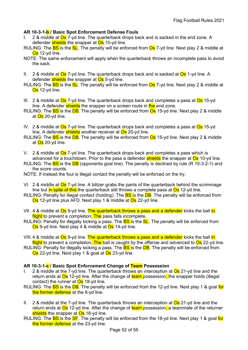#### AR 10-3-1-b / Basic Spot Enforcement Defense Fouls

- 2 & middle at Os 7-yd line. The quarterback drops back and is sacked in the end zone. A defender shields the snapper at Os 10-yd line.
- RULING: The **BS** is the **SL**. The penalty will be enforced from **Os** 7-yd line. Next play 2 & middle at Os 12-yd line.
- NOTE: The same enforcement will apply when the quarterback throws an incomplete pass to avoid the sack.
- II. 2 & middle at  $\overline{Os}$  7-yd line. The quarterback drops back and is sacked at  $\overline{Os}$  1-yd line. A defender shields the snapper at Os 5-yd line.
- RULING: The **BS** is the **SL**. The penalty will be enforced from **Os** 7-yd line. Next play 2 & middle at Os 12-yd line.
- III. 2 & middle at  $\overline{Os}$  7-yd line. The quarterback drops back and completes a pass at  $\overline{Os}$  15-yd line. A defender shields the snapper on a screen route in the end zone.
- RULING: The **BS** is the **DB**. The penalty will be enforced from **Os** 15-yd line. Next play 2 & middle at **Os** 20-yd line.
- IV. 2 & middle at  $\overline{Os}$  7-yd line. The quarterback drops back and completes a pass at  $\overline{Os}$  15-yd line. A defender **shields** another receiver at **Os** 20-yd line.
- RULING: The **BS** is the **DB**. The penalty will be enforced from **Os** 15-yd line. Next play 2 & middle at <mark>Os</mark> 20-yd line.
- V. 2 & middle at  $\overline{Os}$  7-yd line. The quarterback drops back and completes a pass which is advanced for a touchdown. Prior to the pass a defender **shields** the snapper at **Os** 10-yd line.
- RULING: The **BS** is the **DB** (opponents goal line). The penalty is declined by rule (R 10-3-2-1) and the score counts.
- NOTE: If instead the foul is illegal contact the penalty will be enforced on the try.
- VI. 2 & middle at  $Os$  7-yd line. A blitzer grabs the pants of the quarterback behind the scrimmage line but in spite of this the quarterback still throws a complete pass at  $\overline{Os}$  12-yd line.
- RULING: Penalty for illegal contact (holding). The **BS** is the **DB**. The penalty will be enforced from Os 12-yd line plus AFD. Next play 1 & middle at Os 22-yd line.
- VII. 4 & middle at Os 9-yd line. The quarterback throws a pass and a defender kicks the ball in flight to prevent a completion. The pass falls incomplete.
- RULING: Penalty for illegally kicking a pass. The **BS** is the **SL**. The penalty will be enforced from Os 9-yd line. Next play 4 & middle at Os 14-yd line.
- VIII. 4 & middle at Os 9-yd line. The quarterback throws a pass and a defender kicks the ball in flight to prevent a completion. The ball is caught by the offense and advanced to Os 22-yd line.
- RULING: Penalty for illegally kicking a pass. The **BS** is the **DB**. The penalty will be enforced from Os 22-yd line. Next play 1 & goal at Ds 23-yd line.

#### AR 10-3-1-c / Basic Spot Enforcement Change of Team Possession

- I. 2 & middle at the 7-yd line. The quarterback throws an interception at  $\overline{Os}$  21-yd line and the return ends at Os 12-yd line. After the change of team possession, the snapper holds (illegal contact) the runner at  $Os$  18-yd line.
- RULING: The BS is the DB. The penalty will be enforced from the 12-yd line. Next play 1 & goal for the former defense at the 6-yd line.
- II. 2 & middle at the 7-yd line. The quarterback throws an interception at  $\overline{Os}$  21-yd line and the return ends at Os 12-yd line. After the change of team possession, a teammate of the returner shields the snapper at Os 18-yd line.
- RULING: The **BS** is the **SF**. The penalty will be enforced from the 18-yd line. Next play 1 & goal for the former defense at the 23-yd line.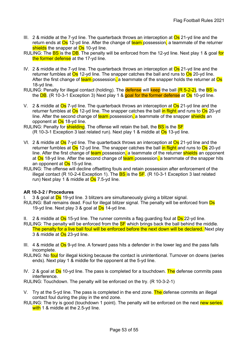- III. 2 & middle at the 7-yd line. The quarterback throws an interception at  $\overline{Os}$  21-yd line and the return ends at Os 12-yd line. After the change of team possession, a teammate of the returner shields the snapper at Os 10-yd line.
- RULING: The **BS** is the **DB**. The penalty will be enforced from the 12-yd line. Next play 1 & goal for the former defense at the 17-yd line.
- IV. 2 & middle at the 7-yd line. The quarterback throws an interception at  $\overline{Os}$  21-yd line and the returner fumbles at  $\overline{Os}$  12-yd line. The snapper catches the ball and runs to  $\overline{Os}$  20-yd line. After the first change of team possession, a teammate of the snapper holds the returner at  $\overline{Os}$ 18-yd line.
- RULING: Penalty for illegal contact (holding). The **defense** will **keep** the ball  $(R 5-2-2)$ , the **BS** is the  $DB$ . (R 10-3-1 Exception 3) Next play 1 & goal for the former defense at  $Os$  10-yd line.
- V. 2 & middle at  $\overline{Os}$  7-yd line. The quarterback throws an interception at  $\overline{Os}$  21-yd line and the returner fumbles at  $\overline{Os}$  12-yd line. The snapper catches the ball in flight and runs to  $\overline{Os}$  20-yd line. After the second change of team possession, a teammate of the snapper shields an opponent at **Os** 18-yd line.
- RULING: Penalty for **shielding**. The offense will retain the ball, the **BS** is the **SF** (R 10-3-1 Exception 3 last related run). Next play 1 & middle at  $\overline{Os}$  13-yd line.
- VI. 2 & middle at Os 7-yd line. The quarterback throws an interception at Os 21-yd line and the returner fumbles at  $\overline{Os}$  12-yd line. The snapper catches the ball in flight and runs to  $\overline{Os}$  20-yd line. After the first change of team possession, a teammate of the returner shields an opponent at Os 18-yd line. After the second change of team possession, a teammate of the snapper hits an opponent at **Os** 15-yd line.
- RULING: The offense will decline offsetting fouls and retain possession after enforcement of the illegal contact (R 10-2-4 Exception 1). The  $\overline{BS}$  is the  $\overline{SF}$ . (R 10-3-1 Exception 3 last related run) Next play 1 & middle at  $Os$  7.5-yd line.

#### AR 10-3-2 / Procedures

- I. 3 & goal at  $\overline{Ds}$  19-yd line. 3 blitzers are simultaneously giving a blitzer signal.
- RULING: Ball remains dead. Foul for illegal blitzer signal. The penalty will be enforced from Ds 19-yd line. Next play 3 & goal at  $\overline{Ds}$  14-yd line.
- II. 2 & middle at  $\overline{Os}$  15-yd line. The runner commits a flag guarding foul at  $\overline{Ds}$  22-yd line.
- RULING: The penalty will be enforced from the **SF** which brings back the ball behind the middle. The penalty for a live ball foul will be enforced before the next down will be declared. Next play 3 & middle at Os 23-yd line.
- III. 4 & middle at Os 9-yd line. A forward pass hits a defender in the lower leg and the pass falls incomplete.
- RULING: No foul for illegal kicking because the contact is unintentional. Turnover on downs (series ends). Next play 1 & middle for the opponent at the 5-yd line.
- IV. 2 & goal at  $\overline{Ds}$  10-yd line. The pass is completed for a touchdown. The defense commits pass interference.

RULING: Touchdown. The penalty will be enforced on the try. (R 10-3-2-1)

- V. Try at the 5-yd line. The pass is completed in the end zone. The defense commits an illegal contact foul during the play in the end zone.
- RULING: The try is good (touchdown 1 point). The penalty will be enforced on the next new series with 1 & middle at the 2.5-yd line.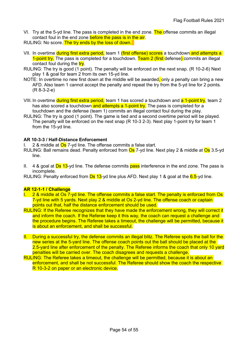- VI. Try at the 5-yd line. The pass is completed in the end zone. The offense commits an illegal contact foul in the end zone before the pass is in the air.
- RULING: No score. The try ends by the loss of down.
- VII. In overtime during first extra period, team 1 (first offense) scores a touchdown and attempts a 1-point try. The pass is completed for a touchdown. Team 2 (first defense) commits an illegal contact foul during the  $try$ .
- RULING: The try is good (1 point). The penalty will be enforced on the next snap. (R 10-2-6) Next play 1 & goal for team 2 from its own 15-yd line.
- NOTE: In overtime no new first down at the middle will be awarded, only a penalty can bring a new AFD. Also team 1 cannot accept the penalty and repeat the try from the 5-yd line for 2 points. (R 8-3-2-e)
- VIII. In overtime during first extra period, team 1 has scored a touchdown and a 1-point try, team 2 has also scored a touchdown and attempts a 1-point try. The pass is completed for a touchdown and the defense (team 1) commits an illegal contact foul during the play.
- RULING: The try is good (1 point). The game is tied and a second overtime period will be played. The penalty will be enforced on the next snap (R 10-3 2-3). Next play 1-point try for team 1 from the 15-yd line.

#### AR 10-3-3 / Half-Distance Enforcement

I.  $2.8$  middle at  $\overline{Os}$  7-vd line. The offense commits a false start.

- RULING: Ball remains dead. Penalty enforced from **Os** 7-yd line. Next play 2 & middle at **Os** 3.5-yd line.
- II. 4 & goal at  $\overline{Ds}$  13-yd line. The defense commits pass interference in the end zone. The pass is incomplete.

RULING: Penalty enforced from  $\overline{Ds}$  13-yd line plus AFD. Next play 1 & goal at the  $\overline{6.5}$ -yd line.

#### AR 12-1-1 / Challenge

- I. 2 & middle at Os 7-yd line. The offense commits a false start. The penalty is enforced from Os 7-yd line with 5 yards. Next play 2 & middle at Os 2-yd line. The offense coach or captain points out that, half the distance enforcement should be used.
- RULING: If the Referee recognizes that they have made the enforcement wrong, they will correct it and inform the coach. If the Referee keep it this way, the coach can request a challenge and the procedure begins. The Referee takes a timeout, the challenge will be permitted, because it is about an enforcement, and shall be successful.
- II. During a successful try, the defense commits an illegal blitz. The Referee spots the ball for the new series at the 5-yard line. The offense coach points out the ball should be placed at the 2.5-yard line after enforcement of the penalty. The Referee informs the coach that only 10 yard penalties will be carried over. The coach disagrees and requests a challenge.
- RULING: The Referee takes a timeout, the challenge will be permitted, because it is about an enforcement, and shall be not successful. The Referee should show the coach the respective R 10-3-2 on paper or an electronic device.